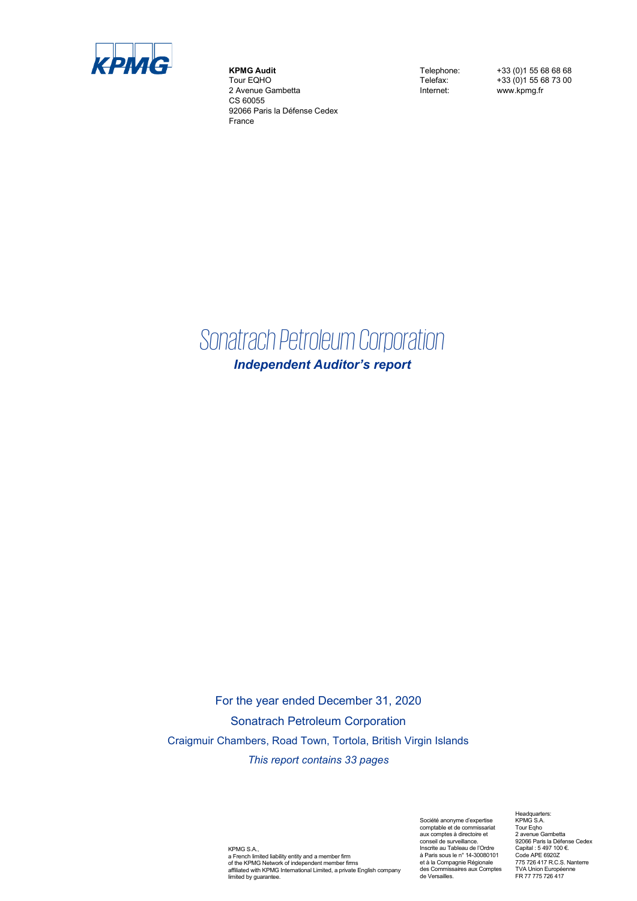

**KPMG Audit** Tour EQHO 2 Avenue Gambetta CS 60055 92066 Paris la Défense Cedex France

Telephone: +33 (0)1 55 68 68 68<br>Telefax: +33 (0)1 55 68 73 00 Telefax: +33 (0)1 55 68 73 00<br>Internet: www.kpmg.fr www.kpmg.fr

# *Sonatrach Petroleum Corporation*

*Independent Auditor's report* 

For the year ended December 31, 2020 Sonatrach Petroleum Corporation Craigmuir Chambers, Road Town, Tortola, British Virgin Islands *This report contains 33 pages*

KPMG S.A.,<br>a French limited liability entity and a member firm<br>of the KPMG Network of independent member firms<br>affiliated with KPMG International Limited, a private English company<br>limited by guarantee.

Société anonyme d'expertise comptable et de commissariat aux comptes à directoire et conseil de surveillance. Inscrite au Tableau de l'Ordre à Paris sous le n° 14-30080101 et à la Compagnie Régionale des Commissaires aux Comptes de Versailles.

Headquarters: KPMG S.A. Tour Eqho 2 avenue Gambetta 92066 Paris la Défense Cedex Capital : 5 497 100 €. Code APE 6920Z 775 726 417 R.C.S. Nanterre TVA Union Européenne FR 77 775 726 417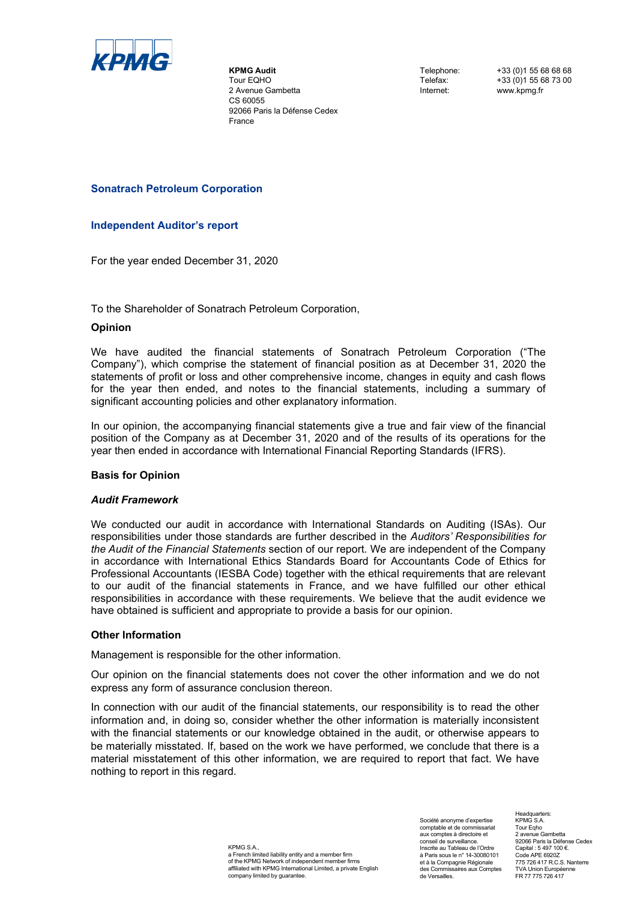

**KPMG Audit** Tour EQHO 2 Avenue Gambetta CS 60055 92066 Paris la Défense Cedex France

Telephone: +33 (0)1 55 68 68 68<br>Telefax: +33 (0)1 55 68 73 00 Telefax: +33 (0)1 55 68 73 00<br>Internet: www.kpmg.fr www.kpmg.fr

## **Sonatrach Petroleum Corporation**

## **Independent Auditor's report**

For the year ended December 31, 2020

To the Shareholder of Sonatrach Petroleum Corporation,

#### **Opinion**

We have audited the financial statements of Sonatrach Petroleum Corporation ("The Company"), which comprise the statement of financial position as at December 31, 2020 the statements of profit or loss and other comprehensive income, changes in equity and cash flows for the year then ended, and notes to the financial statements, including a summary of significant accounting policies and other explanatory information.

In our opinion, the accompanying financial statements give a true and fair view of the financial position of the Company as at December 31, 2020 and of the results of its operations for the year then ended in accordance with International Financial Reporting Standards (IFRS).

#### **Basis for Opinion**

#### *Audit Framework*

We conducted our audit in accordance with International Standards on Auditing (ISAs). Our responsibilities under those standards are further described in the *Auditors' Responsibilities for the Audit of the Financial Statements* section of our report. We are independent of the Company in accordance with International Ethics Standards Board for Accountants Code of Ethics for Professional Accountants (IESBA Code) together with the ethical requirements that are relevant to our audit of the financial statements in France, and we have fulfilled our other ethical responsibilities in accordance with these requirements. We believe that the audit evidence we have obtained is sufficient and appropriate to provide a basis for our opinion.

#### **Other Information**

Management is responsible for the other information.

Our opinion on the financial statements does not cover the other information and we do not express any form of assurance conclusion thereon.

In connection with our audit of the financial statements, our responsibility is to read the other information and, in doing so, consider whether the other information is materially inconsistent with the financial statements or our knowledge obtained in the audit, or otherwise appears to be materially misstated. If, based on the work we have performed, we conclude that there is a material misstatement of this other information, we are required to report that fact. We have nothing to report in this regard.

> KPMG S.A., a French limited liability entity and a member firm of the KPMG Network of independent member firms affiliated with KPMG International Limited, a private English company limited by guarantee.

Société anonyme d'expertise comptable et de commissariat aux comptes à directoire et conseil de surveillance. Inscrite au Tableau de l'Ordre à Paris sous le n° 14-30080101 et à la Compagnie Régionale des Commissaires aux Comptes de Versailles.

Headquarters: KPMG S.A. **Tour Egho** 2 avenue Gambetta 92066 Paris la Défense Cedex Capital : 5 497 100 €. Code APE 6920Z 775 726 417 R.C.S. Nanterre TVA Union Européenne FR 77 775 726 417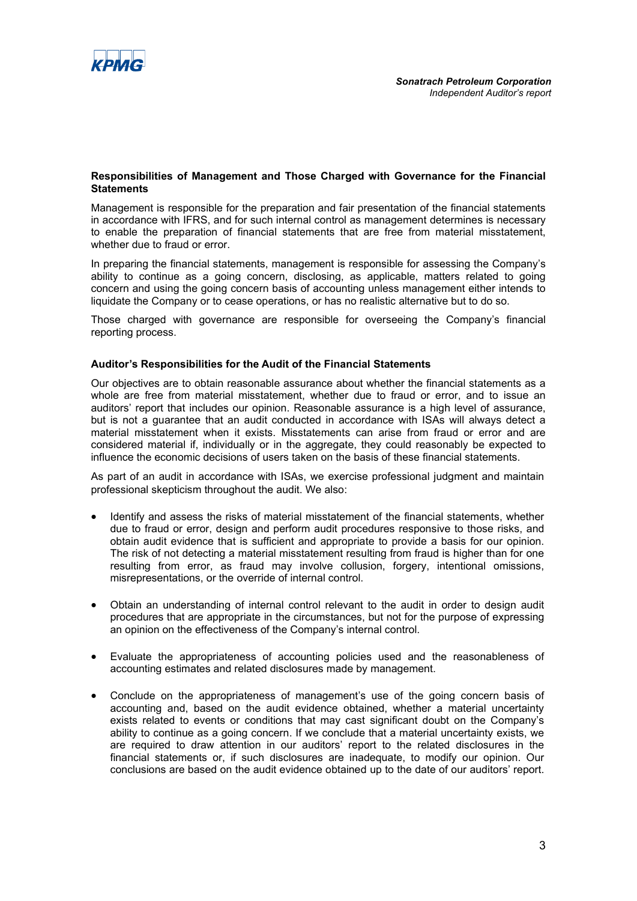

## **Responsibilities of Management and Those Charged with Governance for the Financial Statements**

Management is responsible for the preparation and fair presentation of the financial statements in accordance with IFRS, and for such internal control as management determines is necessary to enable the preparation of financial statements that are free from material misstatement, whether due to fraud or error.

In preparing the financial statements, management is responsible for assessing the Company's ability to continue as a going concern, disclosing, as applicable, matters related to going concern and using the going concern basis of accounting unless management either intends to liquidate the Company or to cease operations, or has no realistic alternative but to do so.

Those charged with governance are responsible for overseeing the Company's financial reporting process.

## **Auditor's Responsibilities for the Audit of the Financial Statements**

Our objectives are to obtain reasonable assurance about whether the financial statements as a whole are free from material misstatement, whether due to fraud or error, and to issue an auditors' report that includes our opinion. Reasonable assurance is a high level of assurance, but is not a guarantee that an audit conducted in accordance with ISAs will always detect a material misstatement when it exists. Misstatements can arise from fraud or error and are considered material if, individually or in the aggregate, they could reasonably be expected to influence the economic decisions of users taken on the basis of these financial statements.

As part of an audit in accordance with ISAs, we exercise professional judgment and maintain professional skepticism throughout the audit. We also:

- Identify and assess the risks of material misstatement of the financial statements, whether due to fraud or error, design and perform audit procedures responsive to those risks, and obtain audit evidence that is sufficient and appropriate to provide a basis for our opinion. The risk of not detecting a material misstatement resulting from fraud is higher than for one resulting from error, as fraud may involve collusion, forgery, intentional omissions, misrepresentations, or the override of internal control.
- Obtain an understanding of internal control relevant to the audit in order to design audit procedures that are appropriate in the circumstances, but not for the purpose of expressing an opinion on the effectiveness of the Company's internal control.
- Evaluate the appropriateness of accounting policies used and the reasonableness of accounting estimates and related disclosures made by management.
- Conclude on the appropriateness of management's use of the going concern basis of accounting and, based on the audit evidence obtained, whether a material uncertainty exists related to events or conditions that may cast significant doubt on the Company's ability to continue as a going concern. If we conclude that a material uncertainty exists, we are required to draw attention in our auditors' report to the related disclosures in the financial statements or, if such disclosures are inadequate, to modify our opinion. Our conclusions are based on the audit evidence obtained up to the date of our auditors' report.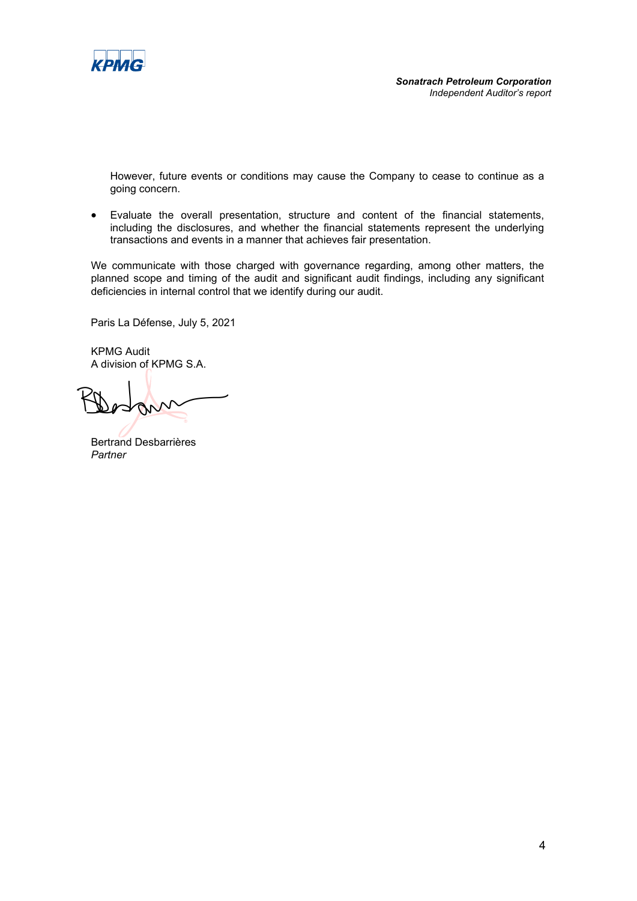

However, future events or conditions may cause the Company to cease to continue as a going concern.

• Evaluate the overall presentation, structure and content of the financial statements, including the disclosures, and whether the financial statements represent the underlying transactions and events in a manner that achieves fair presentation.

We communicate with those charged with governance regarding, among other matters, the planned scope and timing of the audit and significant audit findings, including any significant deficiencies in internal control that we identify during our audit.

Paris La Défense, July 5, 2021

KPMG Audit A division of KPMG S.A.

Bertrand Desbarrières *Partner*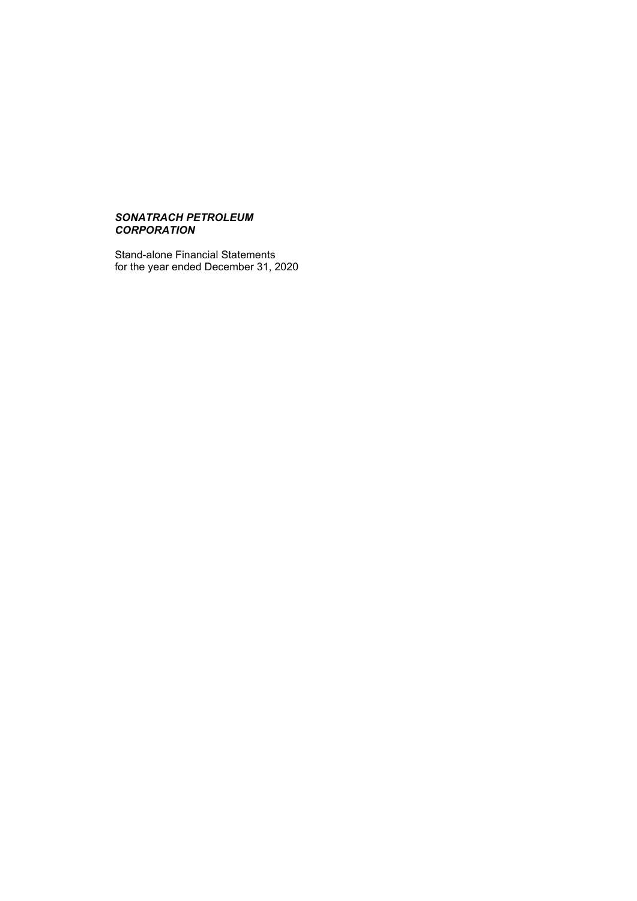# *SONATRACH PETROLEUM CORPORATION*

Stand-alone Financial Statements for the year ended December 31, 2020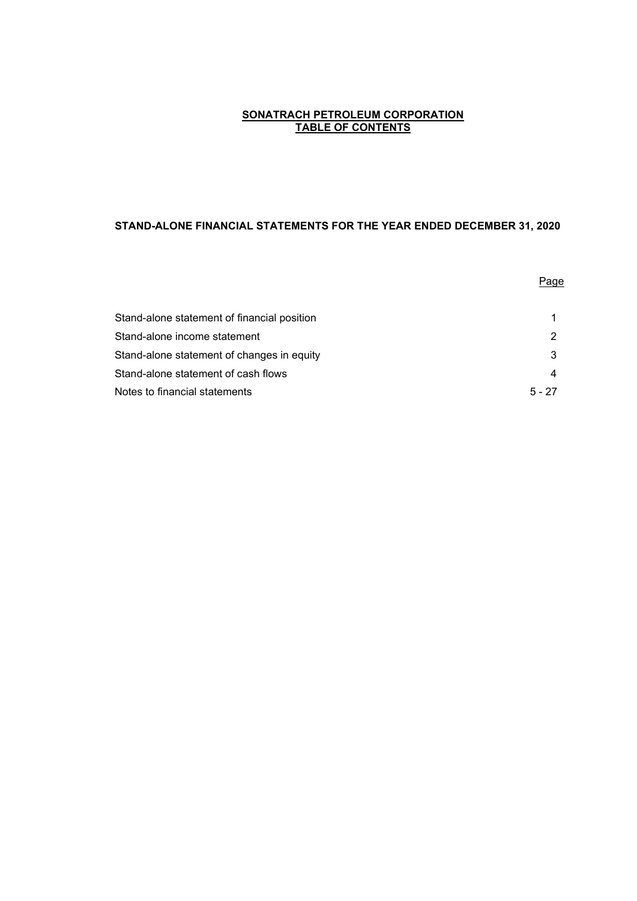# **SONATRACH PETROLEUM CORPORATION TABLE OF CONTENTS**

# **STAND-ALONE FINANCIAL STATEMENTS FOR THE YEAR ENDED DECEMBER 31, 2020**

|                                             | Page   |
|---------------------------------------------|--------|
| Stand-alone statement of financial position |        |
| Stand-alone income statement                | 2      |
| Stand-alone statement of changes in equity  | 3      |
| Stand-alone statement of cash flows         | 4      |
| Notes to financial statements               | 5 - 27 |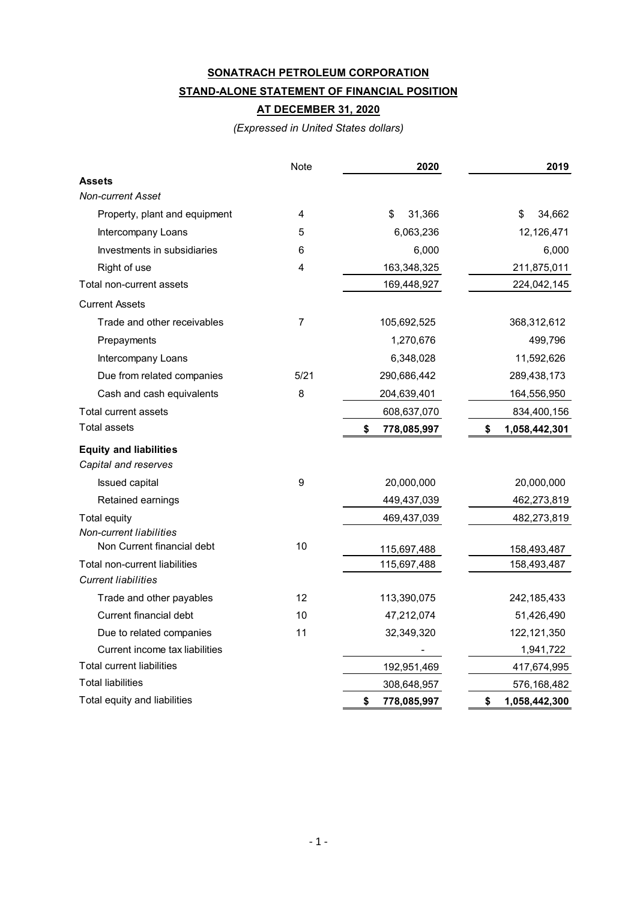# **SONATRACH PETROLEUM CORPORATION**

# **STAND-ALONE STATEMENT OF FINANCIAL POSITION**

# **AT DECEMBER 31, 2020**

|                                  | <b>Note</b> | 2020              | 2019                |  |
|----------------------------------|-------------|-------------------|---------------------|--|
| <b>Assets</b>                    |             |                   |                     |  |
| <b>Non-current Asset</b>         |             |                   |                     |  |
| Property, plant and equipment    | 4           | \$<br>31,366      | \$<br>34,662        |  |
| Intercompany Loans               | 5           | 6,063,236         | 12,126,471          |  |
| Investments in subsidiaries      | 6           | 6,000             | 6,000               |  |
| Right of use                     | 4           | 163,348,325       | 211,875,011         |  |
| Total non-current assets         |             | 169,448,927       | 224,042,145         |  |
| <b>Current Assets</b>            |             |                   |                     |  |
| Trade and other receivables      | 7           | 105,692,525       | 368,312,612         |  |
| Prepayments                      |             | 1,270,676         | 499,796             |  |
| Intercompany Loans               |             | 6,348,028         | 11,592,626          |  |
| Due from related companies       | 5/21        | 290,686,442       | 289,438,173         |  |
| Cash and cash equivalents        | 8           | 204,639,401       | 164,556,950         |  |
| Total current assets             |             | 608,637,070       | 834,400,156         |  |
| <b>Total assets</b>              |             | \$<br>778,085,997 | \$<br>1,058,442,301 |  |
| <b>Equity and liabilities</b>    |             |                   |                     |  |
| Capital and reserves             |             |                   |                     |  |
| <b>Issued capital</b>            | 9           | 20,000,000        | 20,000,000          |  |
| Retained earnings                |             | 449,437,039       | 462,273,819         |  |
| Total equity                     |             | 469,437,039       | 482,273,819         |  |
| <b>Non-current liabilities</b>   |             |                   |                     |  |
| Non Current financial debt       | 10          | 115,697,488       | 158,493,487         |  |
| Total non-current liabilities    |             | 115,697,488       | 158,493,487         |  |
| <b>Current liabilities</b>       |             |                   |                     |  |
| Trade and other payables         | 12          | 113,390,075       | 242, 185, 433       |  |
| Current financial debt           | 10          | 47,212,074        | 51,426,490          |  |
| Due to related companies         | 11          | 32,349,320        | 122, 121, 350       |  |
| Current income tax liabilities   |             |                   | 1,941,722           |  |
| <b>Total current liabilities</b> |             | 192,951,469       | 417,674,995         |  |
| <b>Total liabilities</b>         |             | 308,648,957       | 576,168,482         |  |
| Total equity and liabilities     |             | \$<br>778,085,997 | \$<br>1,058,442,300 |  |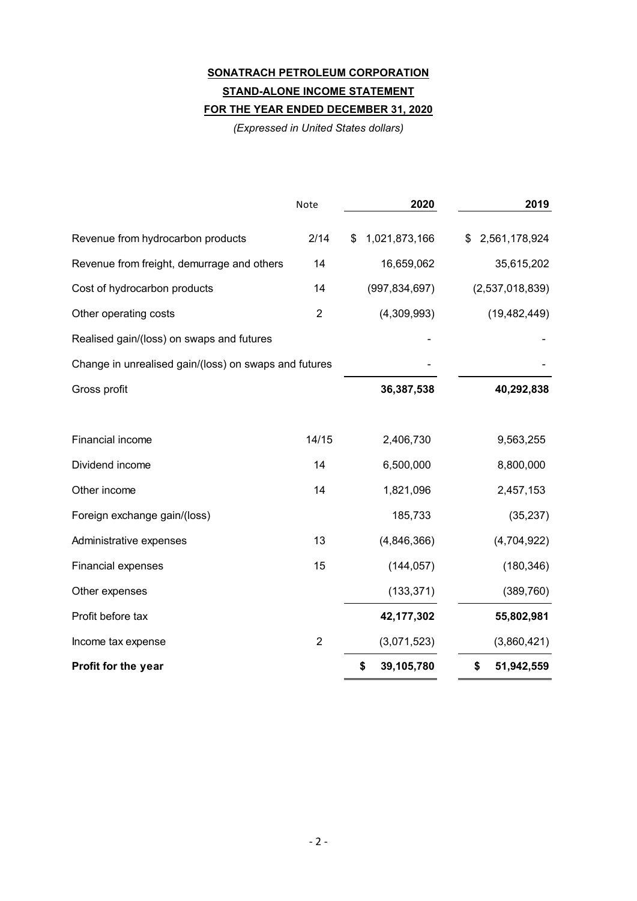# **SONATRACH PETROLEUM CORPORATION STAND-ALONE INCOME STATEMENT FOR THE YEAR ENDED DECEMBER 31, 2020**

|                                                       | Note           | 2020                | 2019                |
|-------------------------------------------------------|----------------|---------------------|---------------------|
| Revenue from hydrocarbon products                     | 2/14           | 1,021,873,166<br>\$ | 2,561,178,924<br>\$ |
| Revenue from freight, demurrage and others            | 14             | 16,659,062          | 35,615,202          |
| Cost of hydrocarbon products                          | 14             | (997, 834, 697)     | (2,537,018,839)     |
| Other operating costs                                 | $\overline{2}$ | (4,309,993)         | (19, 482, 449)      |
| Realised gain/(loss) on swaps and futures             |                |                     |                     |
| Change in unrealised gain/(loss) on swaps and futures |                |                     |                     |
| Gross profit                                          |                | 36,387,538          | 40,292,838          |
| Financial income                                      | 14/15          | 2,406,730           | 9,563,255           |
| Dividend income                                       | 14             | 6,500,000           | 8,800,000           |
| Other income                                          | 14             | 1,821,096           | 2,457,153           |
| Foreign exchange gain/(loss)                          |                | 185,733             | (35, 237)           |
| Administrative expenses                               | 13             | (4,846,366)         | (4,704,922)         |
| <b>Financial expenses</b>                             | 15             | (144, 057)          | (180, 346)          |
| Other expenses                                        |                | (133, 371)          | (389, 760)          |
| Profit before tax                                     |                | 42,177,302          | 55,802,981          |
| Income tax expense                                    | $\overline{2}$ | (3,071,523)         | (3,860,421)         |
| Profit for the year                                   |                | \$<br>39,105,780    | \$<br>51,942,559    |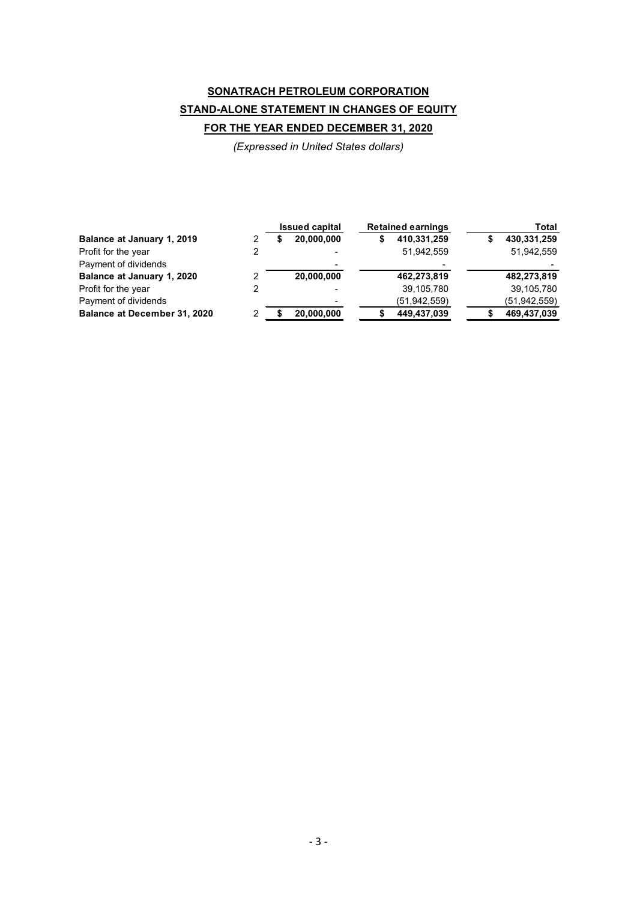# **SONATRACH PETROLEUM CORPORATION STAND-ALONE STATEMENT IN CHANGES OF EQUITY FOR THE YEAR ENDED DECEMBER 31, 2020**

|                              |   | <b>Issued capital</b> | <b>Retained earnings</b> | Total          |
|------------------------------|---|-----------------------|--------------------------|----------------|
| Balance at January 1, 2019   |   | 20,000,000            | 410,331,259              | 430,331,259    |
| Profit for the year          |   |                       | 51,942,559               | 51,942,559     |
| Payment of dividends         |   |                       |                          |                |
| Balance at January 1, 2020   | 2 | 20,000,000            | 462,273,819              | 482,273,819    |
| Profit for the year          |   |                       | 39,105,780               | 39,105,780     |
| Payment of dividends         |   |                       | (51, 942, 559)           | (51, 942, 559) |
| Balance at December 31, 2020 |   | 20,000,000            | 449,437,039              | 469,437,039    |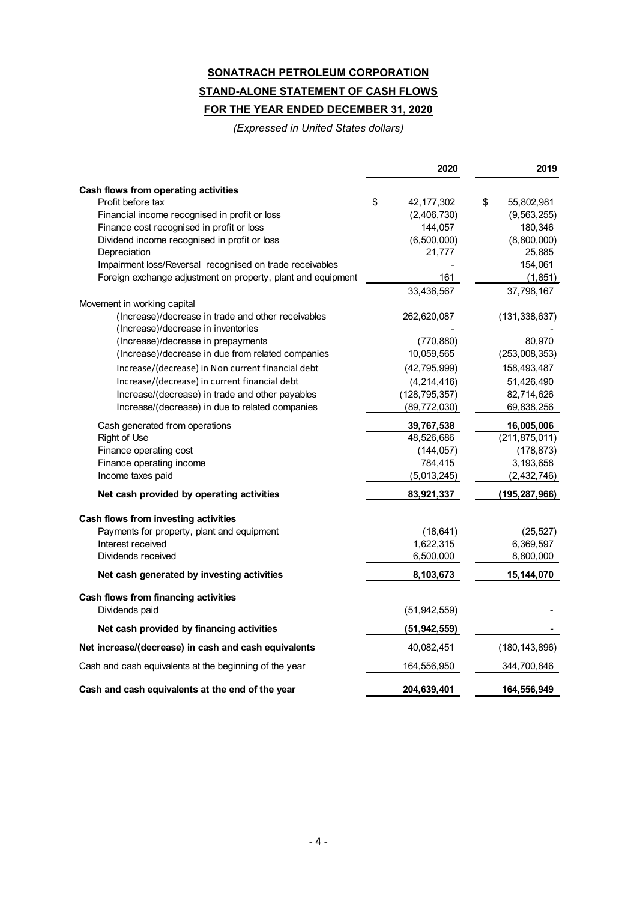# **SONATRACH PETROLEUM CORPORATION STAND-ALONE STATEMENT OF CASH FLOWS FOR THE YEAR ENDED DECEMBER 31, 2020**

|                                                              | 2020               | 2019             |
|--------------------------------------------------------------|--------------------|------------------|
| Cash flows from operating activities                         |                    |                  |
| Profit before tax                                            | \$<br>42, 177, 302 | \$<br>55,802,981 |
| Financial income recognised in profit or loss                | (2,406,730)        | (9, 563, 255)    |
| Finance cost recognised in profit or loss                    | 144,057            | 180,346          |
| Dividend income recognised in profit or loss                 | (6,500,000)        | (8,800,000)      |
| Depreciation                                                 | 21,777             | 25,885           |
| Impairment loss/Reversal recognised on trade receivables     |                    | 154,061          |
| Foreign exchange adjustment on property, plant and equipment | 161                | (1, 851)         |
|                                                              | 33,436,567         | 37,798,167       |
| Movement in working capital                                  |                    |                  |
| (Increase)/decrease in trade and other receivables           | 262,620,087        | (131, 338, 637)  |
| (Increase)/decrease in inventories                           |                    |                  |
| (Increase)/decrease in prepayments                           | (770, 880)         | 80,970           |
| (Increase)/decrease in due from related companies            | 10,059,565         | (253,008,353)    |
| Increase/(decrease) in Non current financial debt            | (42, 795, 999)     | 158,493,487      |
| Increase/(decrease) in current financial debt                | (4,214,416)        | 51,426,490       |
| Increase/(decrease) in trade and other payables              | (128, 795, 357)    | 82,714,626       |
| Increase/(decrease) in due to related companies              | (89, 772, 030)     | 69,838,256       |
| Cash generated from operations                               | 39,767,538         | 16,005,006       |
| <b>Right of Use</b>                                          | 48,526,686         | (211, 875, 011)  |
| Finance operating cost                                       | (144, 057)         | (178, 873)       |
| Finance operating income                                     | 784,415            | 3,193,658        |
| Income taxes paid                                            | (5,013,245)        | (2,432,746)      |
| Net cash provided by operating activities                    | 83,921,337         | (195, 287, 966)  |
| Cash flows from investing activities                         |                    |                  |
| Payments for property, plant and equipment                   | (18, 641)          | (25, 527)        |
| Interest received                                            | 1,622,315          | 6,369,597        |
| Dividends received                                           | 6,500,000          | 8,800,000        |
| Net cash generated by investing activities                   | 8,103,673          | 15,144,070       |
| Cash flows from financing activities                         |                    |                  |
| Dividends paid                                               | (51, 942, 559)     |                  |
| Net cash provided by financing activities                    | (51, 942, 559)     |                  |
| Net increase/(decrease) in cash and cash equivalents         | 40,082,451         | (180, 143, 896)  |
| Cash and cash equivalents at the beginning of the year       | 164,556,950        | 344,700,846      |
| Cash and cash equivalents at the end of the year             | 204,639,401        | 164,556,949      |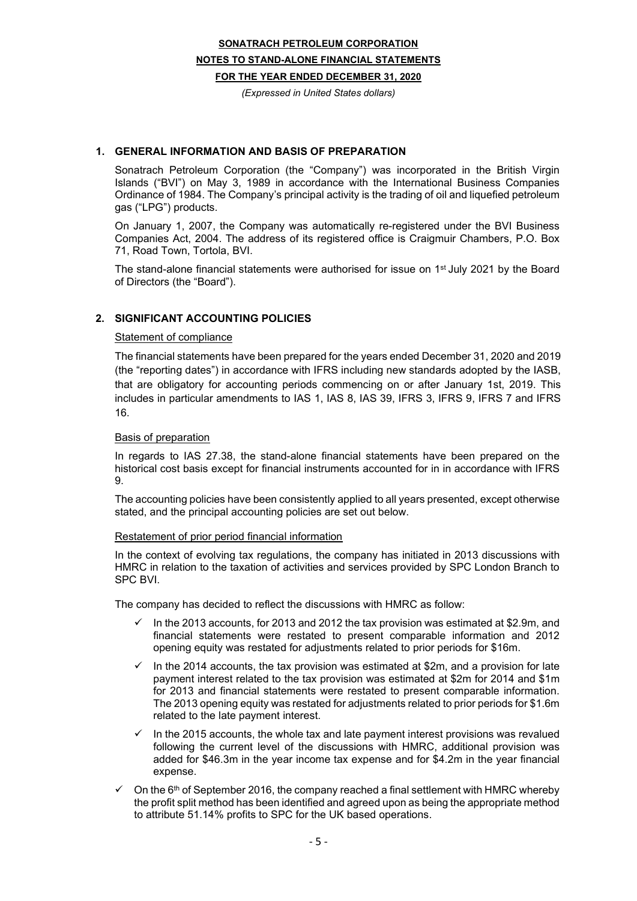*(Expressed in United States dollars)*

## **1. GENERAL INFORMATION AND BASIS OF PREPARATION**

Sonatrach Petroleum Corporation (the "Company") was incorporated in the British Virgin Islands ("BVI") on May 3, 1989 in accordance with the International Business Companies Ordinance of 1984. The Company's principal activity is the trading of oil and liquefied petroleum gas ("LPG") products.

On January 1, 2007, the Company was automatically re-registered under the BVI Business Companies Act, 2004. The address of its registered office is Craigmuir Chambers, P.O. Box 71, Road Town, Tortola, BVI.

The stand-alone financial statements were authorised for issue on 1<sup>st</sup> July 2021 by the Board of Directors (the "Board").

# **2. SIGNIFICANT ACCOUNTING POLICIES**

# Statement of compliance

The financial statements have been prepared for the years ended December 31, 2020 and 2019 (the "reporting dates") in accordance with IFRS including new standards adopted by the IASB, that are obligatory for accounting periods commencing on or after January 1st, 2019. This includes in particular amendments to IAS 1, IAS 8, IAS 39, IFRS 3, IFRS 9, IFRS 7 and IFRS 16.

## Basis of preparation

In regards to IAS 27.38, the stand-alone financial statements have been prepared on the historical cost basis except for financial instruments accounted for in in accordance with IFRS  $\mathbf{Q}$ 

The accounting policies have been consistently applied to all years presented, except otherwise stated, and the principal accounting policies are set out below.

## Restatement of prior period financial information

In the context of evolving tax regulations, the company has initiated in 2013 discussions with HMRC in relation to the taxation of activities and services provided by SPC London Branch to SPC BVI.

The company has decided to reflect the discussions with HMRC as follow:

- In the 2013 accounts, for 2013 and 2012 the tax provision was estimated at \$2.9m, and financial statements were restated to present comparable information and 2012 opening equity was restated for adjustments related to prior periods for \$16m.
- $\checkmark$  In the 2014 accounts, the tax provision was estimated at \$2m, and a provision for late payment interest related to the tax provision was estimated at \$2m for 2014 and \$1m for 2013 and financial statements were restated to present comparable information. The 2013 opening equity was restated for adjustments related to prior periods for \$1.6m related to the late payment interest.
- In the 2015 accounts, the whole tax and late payment interest provisions was revalued following the current level of the discussions with HMRC, additional provision was added for \$46.3m in the year income tax expense and for \$4.2m in the year financial expense.
- $\checkmark$  On the 6<sup>th</sup> of September 2016, the company reached a final settlement with HMRC whereby the profit split method has been identified and agreed upon as being the appropriate method to attribute 51.14% profits to SPC for the UK based operations.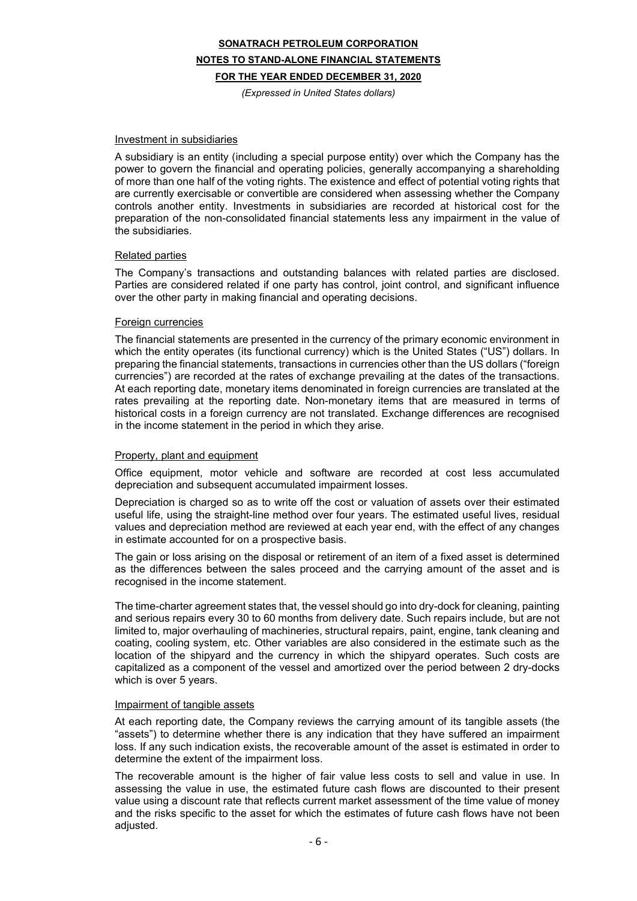*(Expressed in United States dollars)*

#### Investment in subsidiaries

A subsidiary is an entity (including a special purpose entity) over which the Company has the power to govern the financial and operating policies, generally accompanying a shareholding of more than one half of the voting rights. The existence and effect of potential voting rights that are currently exercisable or convertible are considered when assessing whether the Company controls another entity. Investments in subsidiaries are recorded at historical cost for the preparation of the non-consolidated financial statements less any impairment in the value of the subsidiaries.

#### Related parties

The Company's transactions and outstanding balances with related parties are disclosed. Parties are considered related if one party has control, joint control, and significant influence over the other party in making financial and operating decisions.

#### Foreign currencies

The financial statements are presented in the currency of the primary economic environment in which the entity operates (its functional currency) which is the United States ("US") dollars. In preparing the financial statements, transactions in currencies other than the US dollars ("foreign currencies") are recorded at the rates of exchange prevailing at the dates of the transactions. At each reporting date, monetary items denominated in foreign currencies are translated at the rates prevailing at the reporting date. Non-monetary items that are measured in terms of historical costs in a foreign currency are not translated. Exchange differences are recognised in the income statement in the period in which they arise.

#### Property, plant and equipment

Office equipment, motor vehicle and software are recorded at cost less accumulated depreciation and subsequent accumulated impairment losses.

Depreciation is charged so as to write off the cost or valuation of assets over their estimated useful life, using the straight-line method over four years. The estimated useful lives, residual values and depreciation method are reviewed at each year end, with the effect of any changes in estimate accounted for on a prospective basis.

The gain or loss arising on the disposal or retirement of an item of a fixed asset is determined as the differences between the sales proceed and the carrying amount of the asset and is recognised in the income statement.

The time-charter agreement states that, the vessel should go into dry-dock for cleaning, painting and serious repairs every 30 to 60 months from delivery date. Such repairs include, but are not limited to, major overhauling of machineries, structural repairs, paint, engine, tank cleaning and coating, cooling system, etc. Other variables are also considered in the estimate such as the location of the shipyard and the currency in which the shipyard operates. Such costs are capitalized as a component of the vessel and amortized over the period between 2 dry-docks which is over 5 years.

#### Impairment of tangible assets

At each reporting date, the Company reviews the carrying amount of its tangible assets (the "assets") to determine whether there is any indication that they have suffered an impairment loss. If any such indication exists, the recoverable amount of the asset is estimated in order to determine the extent of the impairment loss.

The recoverable amount is the higher of fair value less costs to sell and value in use. In assessing the value in use, the estimated future cash flows are discounted to their present value using a discount rate that reflects current market assessment of the time value of money and the risks specific to the asset for which the estimates of future cash flows have not been adjusted.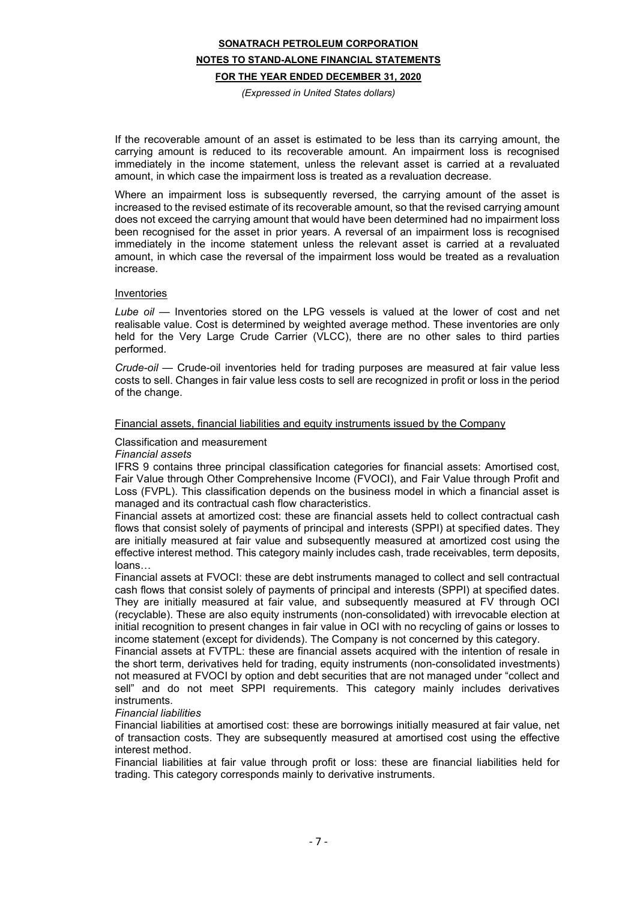*(Expressed in United States dollars)*

If the recoverable amount of an asset is estimated to be less than its carrying amount, the carrying amount is reduced to its recoverable amount. An impairment loss is recognised immediately in the income statement, unless the relevant asset is carried at a revaluated amount, in which case the impairment loss is treated as a revaluation decrease.

Where an impairment loss is subsequently reversed, the carrying amount of the asset is increased to the revised estimate of its recoverable amount, so that the revised carrying amount does not exceed the carrying amount that would have been determined had no impairment loss been recognised for the asset in prior years. A reversal of an impairment loss is recognised immediately in the income statement unless the relevant asset is carried at a revaluated amount, in which case the reversal of the impairment loss would be treated as a revaluation increase.

## Inventories

Lube oil — Inventories stored on the LPG vessels is valued at the lower of cost and net realisable value. Cost is determined by weighted average method. These inventories are only held for the Very Large Crude Carrier (VLCC), there are no other sales to third parties performed.

*Crude-oil* — Crude-oil inventories held for trading purposes are measured at fair value less costs to sell. Changes in fair value less costs to sell are recognized in profit or loss in the period of the change.

#### Financial assets, financial liabilities and equity instruments issued by the Company

## Classification and measurement

#### *Financial assets*

IFRS 9 contains three principal classification categories for financial assets: Amortised cost, Fair Value through Other Comprehensive Income (FVOCI), and Fair Value through Profit and Loss (FVPL). This classification depends on the business model in which a financial asset is managed and its contractual cash flow characteristics.

Financial assets at amortized cost: these are financial assets held to collect contractual cash flows that consist solely of payments of principal and interests (SPPI) at specified dates. They are initially measured at fair value and subsequently measured at amortized cost using the effective interest method. This category mainly includes cash, trade receivables, term deposits, loans…

Financial assets at FVOCI: these are debt instruments managed to collect and sell contractual cash flows that consist solely of payments of principal and interests (SPPI) at specified dates. They are initially measured at fair value, and subsequently measured at FV through OCI (recyclable). These are also equity instruments (non-consolidated) with irrevocable election at initial recognition to present changes in fair value in OCI with no recycling of gains or losses to income statement (except for dividends). The Company is not concerned by this category.

Financial assets at FVTPL: these are financial assets acquired with the intention of resale in the short term, derivatives held for trading, equity instruments (non-consolidated investments) not measured at FVOCI by option and debt securities that are not managed under "collect and sell" and do not meet SPPI requirements. This category mainly includes derivatives instruments.

#### *Financial liabilities*

Financial liabilities at amortised cost: these are borrowings initially measured at fair value, net of transaction costs. They are subsequently measured at amortised cost using the effective interest method.

Financial liabilities at fair value through profit or loss: these are financial liabilities held for trading. This category corresponds mainly to derivative instruments.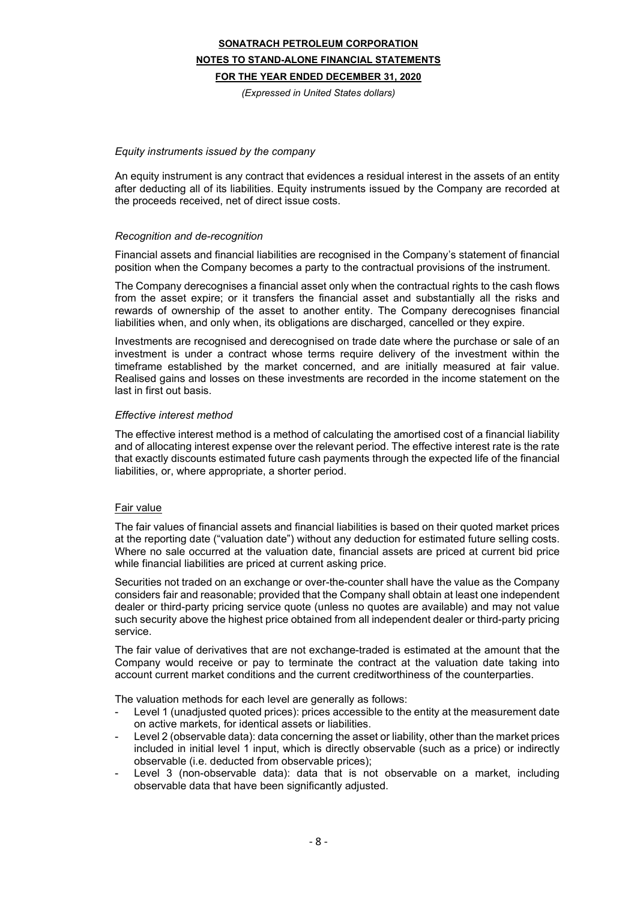*(Expressed in United States dollars)*

#### *Equity instruments issued by the company*

An equity instrument is any contract that evidences a residual interest in the assets of an entity after deducting all of its liabilities. Equity instruments issued by the Company are recorded at the proceeds received, net of direct issue costs.

#### *Recognition and de-recognition*

Financial assets and financial liabilities are recognised in the Company's statement of financial position when the Company becomes a party to the contractual provisions of the instrument.

The Company derecognises a financial asset only when the contractual rights to the cash flows from the asset expire; or it transfers the financial asset and substantially all the risks and rewards of ownership of the asset to another entity. The Company derecognises financial liabilities when, and only when, its obligations are discharged, cancelled or they expire.

Investments are recognised and derecognised on trade date where the purchase or sale of an investment is under a contract whose terms require delivery of the investment within the timeframe established by the market concerned, and are initially measured at fair value. Realised gains and losses on these investments are recorded in the income statement on the last in first out basis.

## *Effective interest method*

The effective interest method is a method of calculating the amortised cost of a financial liability and of allocating interest expense over the relevant period. The effective interest rate is the rate that exactly discounts estimated future cash payments through the expected life of the financial liabilities, or, where appropriate, a shorter period.

## Fair value

The fair values of financial assets and financial liabilities is based on their quoted market prices at the reporting date ("valuation date") without any deduction for estimated future selling costs. Where no sale occurred at the valuation date, financial assets are priced at current bid price while financial liabilities are priced at current asking price.

Securities not traded on an exchange or over-the-counter shall have the value as the Company considers fair and reasonable; provided that the Company shall obtain at least one independent dealer or third-party pricing service quote (unless no quotes are available) and may not value such security above the highest price obtained from all independent dealer or third-party pricing service.

The fair value of derivatives that are not exchange-traded is estimated at the amount that the Company would receive or pay to terminate the contract at the valuation date taking into account current market conditions and the current creditworthiness of the counterparties.

The valuation methods for each level are generally as follows:

- Level 1 (unadjusted quoted prices): prices accessible to the entity at the measurement date on active markets, for identical assets or liabilities.
- Level 2 (observable data): data concerning the asset or liability, other than the market prices included in initial level 1 input, which is directly observable (such as a price) or indirectly observable (i.e. deducted from observable prices);
- Level 3 (non-observable data): data that is not observable on a market, including observable data that have been significantly adjusted.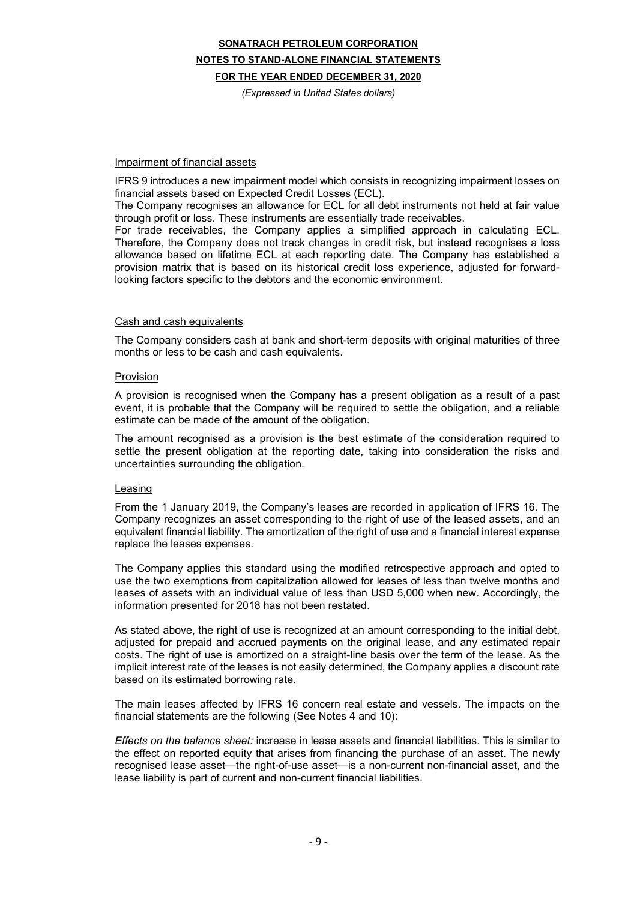*(Expressed in United States dollars)*

#### Impairment of financial assets

IFRS 9 introduces a new impairment model which consists in recognizing impairment losses on financial assets based on Expected Credit Losses (ECL).

The Company recognises an allowance for ECL for all debt instruments not held at fair value through profit or loss. These instruments are essentially trade receivables.

For trade receivables, the Company applies a simplified approach in calculating ECL. Therefore, the Company does not track changes in credit risk, but instead recognises a loss allowance based on lifetime ECL at each reporting date. The Company has established a provision matrix that is based on its historical credit loss experience, adjusted for forwardlooking factors specific to the debtors and the economic environment.

## Cash and cash equivalents

The Company considers cash at bank and short-term deposits with original maturities of three months or less to be cash and cash equivalents.

#### Provision

A provision is recognised when the Company has a present obligation as a result of a past event, it is probable that the Company will be required to settle the obligation, and a reliable estimate can be made of the amount of the obligation.

The amount recognised as a provision is the best estimate of the consideration required to settle the present obligation at the reporting date, taking into consideration the risks and uncertainties surrounding the obligation.

#### Leasing

From the 1 January 2019, the Company's leases are recorded in application of IFRS 16. The Company recognizes an asset corresponding to the right of use of the leased assets, and an equivalent financial liability. The amortization of the right of use and a financial interest expense replace the leases expenses.

The Company applies this standard using the modified retrospective approach and opted to use the two exemptions from capitalization allowed for leases of less than twelve months and leases of assets with an individual value of less than USD 5,000 when new. Accordingly, the information presented for 2018 has not been restated.

As stated above, the right of use is recognized at an amount corresponding to the initial debt, adjusted for prepaid and accrued payments on the original lease, and any estimated repair costs. The right of use is amortized on a straight-line basis over the term of the lease. As the implicit interest rate of the leases is not easily determined, the Company applies a discount rate based on its estimated borrowing rate.

The main leases affected by IFRS 16 concern real estate and vessels. The impacts on the financial statements are the following (See Notes 4 and 10):

*Effects on the balance sheet:* increase in lease assets and financial liabilities. This is similar to the effect on reported equity that arises from financing the purchase of an asset. The newly recognised lease asset—the right-of-use asset—is a non-current non-financial asset, and the lease liability is part of current and non-current financial liabilities.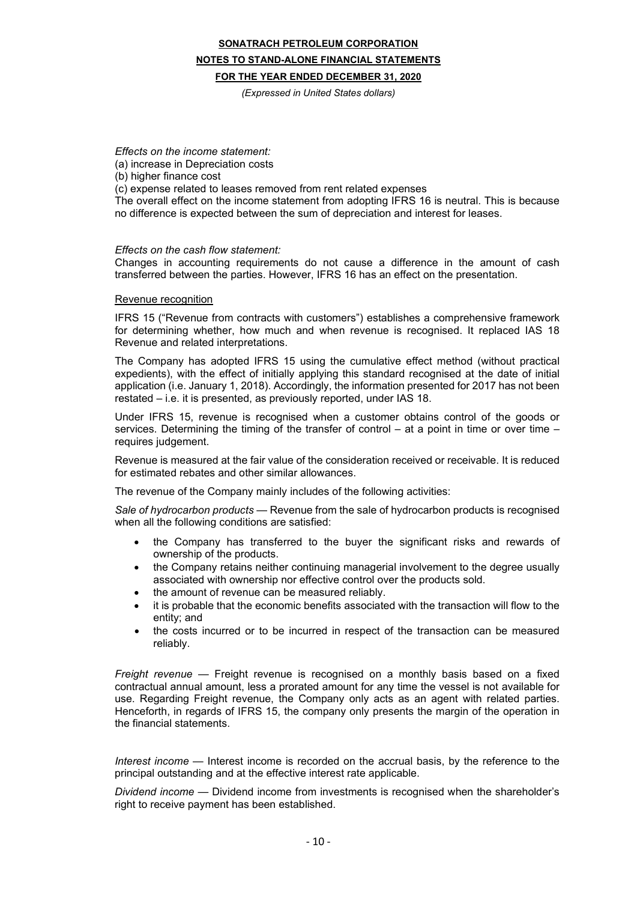*(Expressed in United States dollars)*

# *Effects on the income statement:*

(a) increase in Depreciation costs

(b) higher finance cost

(c) expense related to leases removed from rent related expenses

The overall effect on the income statement from adopting IFRS 16 is neutral. This is because no difference is expected between the sum of depreciation and interest for leases.

#### *Effects on the cash flow statement:*

Changes in accounting requirements do not cause a difference in the amount of cash transferred between the parties. However, IFRS 16 has an effect on the presentation.

#### Revenue recognition

IFRS 15 ("Revenue from contracts with customers") establishes a comprehensive framework for determining whether, how much and when revenue is recognised. It replaced IAS 18 Revenue and related interpretations.

The Company has adopted IFRS 15 using the cumulative effect method (without practical expedients), with the effect of initially applying this standard recognised at the date of initial application (i.e. January 1, 2018). Accordingly, the information presented for 2017 has not been restated – i.e. it is presented, as previously reported, under IAS 18.

Under IFRS 15, revenue is recognised when a customer obtains control of the goods or services. Determining the timing of the transfer of control – at a point in time or over time – requires judgement.

Revenue is measured at the fair value of the consideration received or receivable. It is reduced for estimated rebates and other similar allowances.

The revenue of the Company mainly includes of the following activities:

*Sale of hydrocarbon products* — Revenue from the sale of hydrocarbon products is recognised when all the following conditions are satisfied:

- the Company has transferred to the buyer the significant risks and rewards of ownership of the products.
- the Company retains neither continuing managerial involvement to the degree usually associated with ownership nor effective control over the products sold.
- the amount of revenue can be measured reliably.
- it is probable that the economic benefits associated with the transaction will flow to the entity; and
- the costs incurred or to be incurred in respect of the transaction can be measured reliably.

*Freight revenue* — Freight revenue is recognised on a monthly basis based on a fixed contractual annual amount, less a prorated amount for any time the vessel is not available for use. Regarding Freight revenue, the Company only acts as an agent with related parties. Henceforth, in regards of IFRS 15, the company only presents the margin of the operation in the financial statements.

*Interest income* — Interest income is recorded on the accrual basis, by the reference to the principal outstanding and at the effective interest rate applicable.

*Dividend income* — Dividend income from investments is recognised when the shareholder's right to receive payment has been established.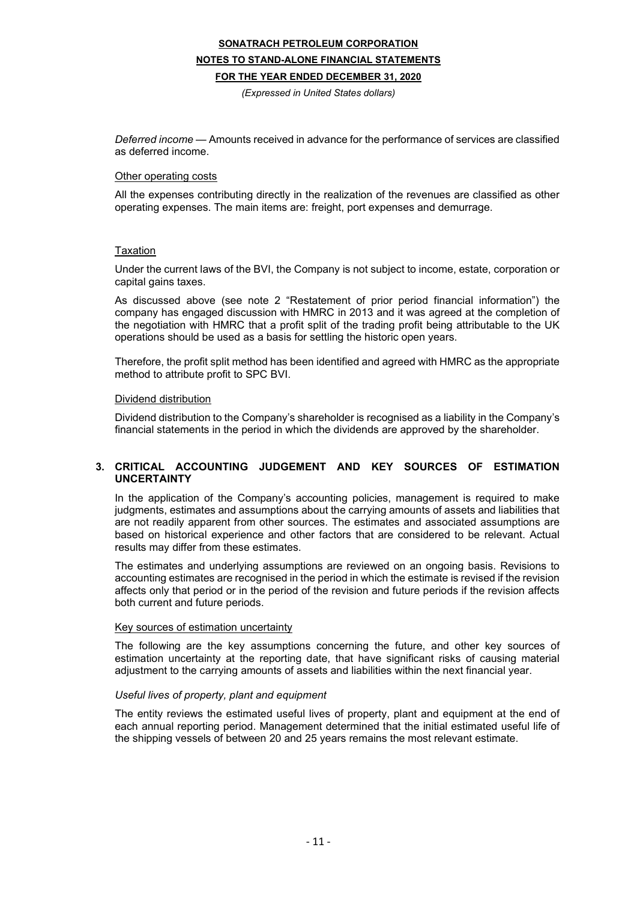*(Expressed in United States dollars)*

*Deferred income* — Amounts received in advance for the performance of services are classified as deferred income.

#### Other operating costs

All the expenses contributing directly in the realization of the revenues are classified as other operating expenses. The main items are: freight, port expenses and demurrage.

## Taxation

Under the current laws of the BVI, the Company is not subject to income, estate, corporation or capital gains taxes.

As discussed above (see note 2 "Restatement of prior period financial information") the company has engaged discussion with HMRC in 2013 and it was agreed at the completion of the negotiation with HMRC that a profit split of the trading profit being attributable to the UK operations should be used as a basis for settling the historic open years.

Therefore, the profit split method has been identified and agreed with HMRC as the appropriate method to attribute profit to SPC BVI.

#### Dividend distribution

Dividend distribution to the Company's shareholder is recognised as a liability in the Company's financial statements in the period in which the dividends are approved by the shareholder.

# **3. CRITICAL ACCOUNTING JUDGEMENT AND KEY SOURCES OF ESTIMATION UNCERTAINTY**

In the application of the Company's accounting policies, management is required to make judgments, estimates and assumptions about the carrying amounts of assets and liabilities that are not readily apparent from other sources. The estimates and associated assumptions are based on historical experience and other factors that are considered to be relevant. Actual results may differ from these estimates.

The estimates and underlying assumptions are reviewed on an ongoing basis. Revisions to accounting estimates are recognised in the period in which the estimate is revised if the revision affects only that period or in the period of the revision and future periods if the revision affects both current and future periods.

#### Key sources of estimation uncertainty

The following are the key assumptions concerning the future, and other key sources of estimation uncertainty at the reporting date, that have significant risks of causing material adjustment to the carrying amounts of assets and liabilities within the next financial year.

## *Useful lives of property, plant and equipment*

The entity reviews the estimated useful lives of property, plant and equipment at the end of each annual reporting period. Management determined that the initial estimated useful life of the shipping vessels of between 20 and 25 years remains the most relevant estimate.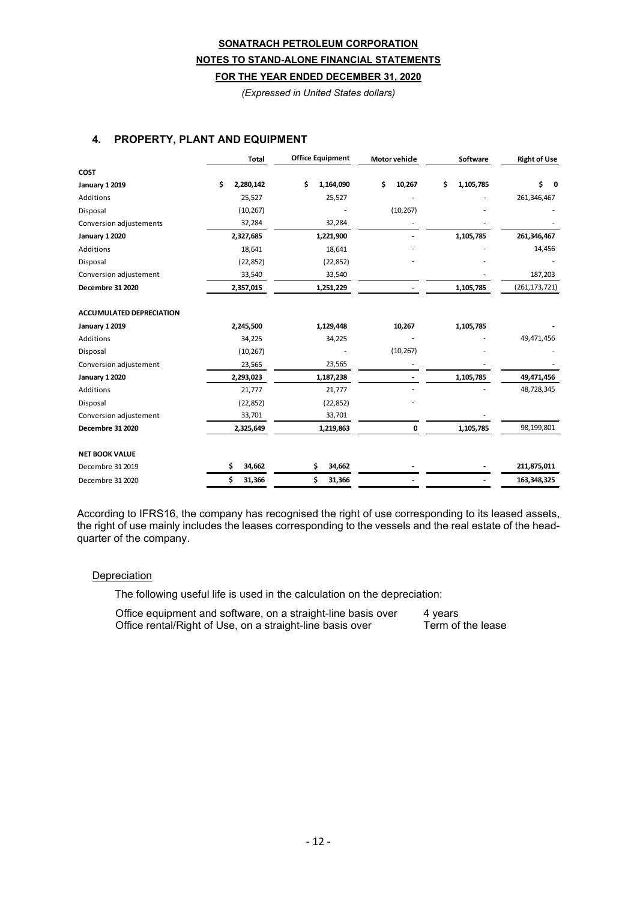*(Expressed in United States dollars)*

# **4. PROPERTY, PLANT AND EQUIPMENT**

|                                 | <b>Total</b>    | <b>Office Equipment</b> | <b>Motor vehicle</b> | Software        | <b>Right of Use</b> |
|---------------------------------|-----------------|-------------------------|----------------------|-----------------|---------------------|
| <b>COST</b>                     |                 |                         |                      |                 |                     |
| <b>January 1 2019</b>           | \$<br>2,280,142 | \$<br>1,164,090         | \$<br>10,267         | \$<br>1,105,785 | \$<br>- 0           |
| Additions                       | 25,527          | 25,527                  |                      |                 | 261,346,467         |
| Disposal                        | (10, 267)       |                         | (10, 267)            |                 |                     |
| Conversion adjustements         | 32,284          | 32,284                  |                      |                 |                     |
| <b>January 1 2020</b>           | 2,327,685       | 1,221,900               |                      | 1,105,785       | 261,346,467         |
| Additions                       | 18,641          | 18,641                  |                      |                 | 14,456              |
| Disposal                        | (22, 852)       | (22, 852)               |                      |                 |                     |
| Conversion adjustement          | 33,540          | 33,540                  |                      |                 | 187,203             |
| Decembre 31 2020                | 2,357,015       | 1,251,229               |                      | 1,105,785       | (261, 173, 721)     |
| <b>ACCUMULATED DEPRECIATION</b> |                 |                         |                      |                 |                     |
| January 1 2019                  | 2,245,500       | 1,129,448               | 10,267               | 1,105,785       |                     |
| Additions                       | 34,225          | 34,225                  |                      |                 | 49,471,456          |
| Disposal                        | (10, 267)       |                         | (10, 267)            |                 |                     |
| Conversion adjustement          | 23,565          | 23,565                  |                      |                 |                     |
| <b>January 1 2020</b>           | 2,293,023       | 1,187,238               |                      | 1,105,785       | 49,471,456          |
| <b>Additions</b>                | 21,777          | 21,777                  |                      |                 | 48,728,345          |
| Disposal                        | (22, 852)       | (22, 852)               |                      |                 |                     |
| Conversion adjustement          | 33,701          | 33,701                  |                      |                 |                     |
| Decembre 31 2020                | 2,325,649       | 1,219,863               | 0                    | 1,105,785       | 98,199,801          |
| <b>NET BOOK VALUE</b>           |                 |                         |                      |                 |                     |
| Decembre 31 2019                | 34,662<br>\$    | \$<br>34,662            |                      |                 | 211,875,011         |
| Decembre 31 2020                | \$<br>31,366    | \$<br>31,366            |                      |                 | 163,348,325         |

According to IFRS16, the company has recognised the right of use corresponding to its leased assets, the right of use mainly includes the leases corresponding to the vessels and the real estate of the headquarter of the company.

#### Depreciation

The following useful life is used in the calculation on the depreciation:

Office equipment and software, on a straight-line basis over 4 years<br>Office rental/Right of Use, on a straight-line basis over Term of the lease Office rental/Right of Use, on a straight-line basis over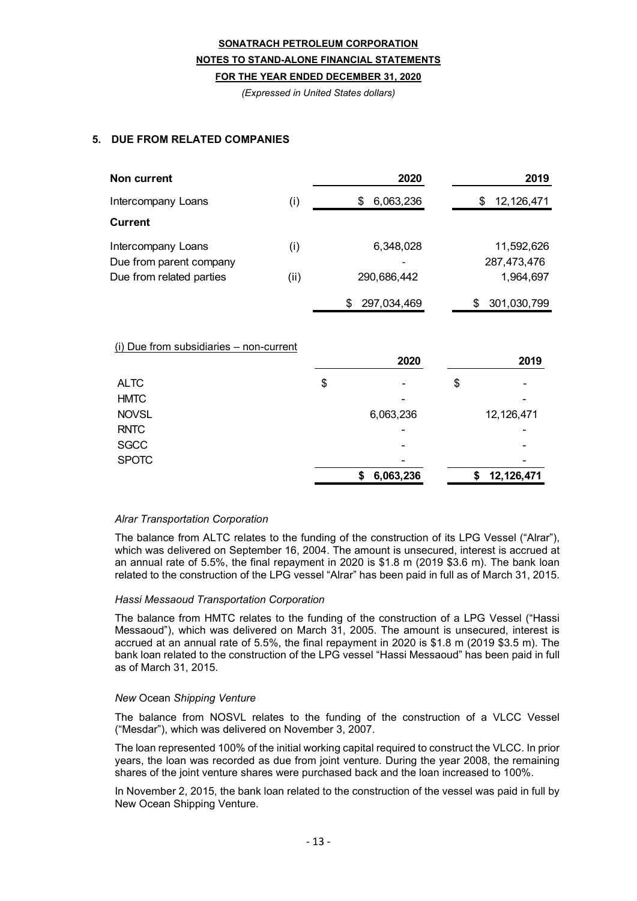*(Expressed in United States dollars)*

# **5. DUE FROM RELATED COMPANIES**

| Non current                                   |                   | 2020              | 2019                      |
|-----------------------------------------------|-------------------|-------------------|---------------------------|
| Intercompany Loans                            | $\left( 1\right)$ | 6,063,236<br>S    | 12, 126, 471<br>S         |
| <b>Current</b>                                |                   |                   |                           |
| Intercompany Loans<br>Due from parent company | (i)               | 6,348,028         | 11,592,626<br>287,473,476 |
| Due from related parties                      | (ii)              | 290,686,442       | 1,964,697                 |
|                                               |                   | 297,034,469<br>\$ | 301,030,799               |

# (i) Due from subsidiaries – non-current

|              | 2020                     | 2019             |
|--------------|--------------------------|------------------|
| <b>ALTC</b>  | \$                       | \$               |
| <b>HMTC</b>  |                          |                  |
| <b>NOVSL</b> | 6,063,236                | 12, 126, 471     |
| <b>RNTC</b>  | $\overline{\phantom{0}}$ |                  |
| <b>SGCC</b>  | $\overline{\phantom{0}}$ |                  |
| <b>SPOTC</b> | -                        |                  |
|              | 6,063,236<br>\$          | \$<br>12,126,471 |

# *Alrar Transportation Corporation*

The balance from ALTC relates to the funding of the construction of its LPG Vessel ("Alrar"), which was delivered on September 16, 2004. The amount is unsecured, interest is accrued at an annual rate of 5.5%, the final repayment in 2020 is \$1.8 m (2019 \$3.6 m). The bank loan related to the construction of the LPG vessel "Alrar" has been paid in full as of March 31, 2015.

#### *Hassi Messaoud Transportation Corporation*

The balance from HMTC relates to the funding of the construction of a LPG Vessel ("Hassi Messaoud"), which was delivered on March 31, 2005. The amount is unsecured, interest is accrued at an annual rate of 5.5%, the final repayment in 2020 is \$1.8 m (2019 \$3.5 m). The bank loan related to the construction of the LPG vessel "Hassi Messaoud" has been paid in full as of March 31, 2015.

#### *New* Ocean *Shipping Venture*

The balance from NOSVL relates to the funding of the construction of a VLCC Vessel ("Mesdar"), which was delivered on November 3, 2007.

The loan represented 100% of the initial working capital required to construct the VLCC. In prior years, the loan was recorded as due from joint venture. During the year 2008, the remaining shares of the joint venture shares were purchased back and the loan increased to 100%.

In November 2, 2015, the bank loan related to the construction of the vessel was paid in full by New Ocean Shipping Venture.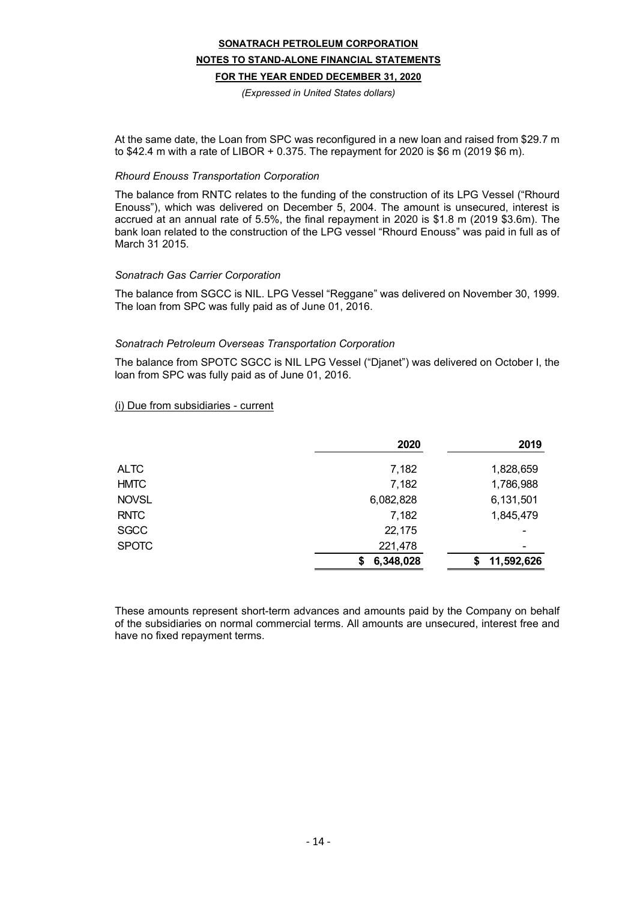*(Expressed in United States dollars)*

At the same date, the Loan from SPC was reconfigured in a new loan and raised from \$29.7 m to \$42.4 m with a rate of LIBOR + 0.375. The repayment for 2020 is \$6 m (2019 \$6 m).

## *Rhourd Enouss Transportation Corporation*

The balance from RNTC relates to the funding of the construction of its LPG Vessel ("Rhourd Enouss"), which was delivered on December 5, 2004. The amount is unsecured, interest is accrued at an annual rate of 5.5%, the final repayment in 2020 is \$1.8 m (2019 \$3.6m). The bank loan related to the construction of the LPG vessel "Rhourd Enouss" was paid in full as of March 31 2015.

# *Sonatrach Gas Carrier Corporation*

The balance from SGCC is NIL. LPG Vessel "Reggane" was delivered on November 30, 1999. The loan from SPC was fully paid as of June 01, 2016.

## *Sonatrach Petroleum Overseas Transportation Corporation*

The balance from SPOTC SGCC is NIL LPG Vessel ("Djanet") was delivered on October I, the loan from SPC was fully paid as of June 01, 2016.

## (i) Due from subsidiaries - current

|              | 2020            | 2019             |
|--------------|-----------------|------------------|
| <b>ALTC</b>  | 7,182           | 1,828,659        |
| <b>HMTC</b>  | 7,182           | 1,786,988        |
| <b>NOVSL</b> | 6,082,828       | 6,131,501        |
| <b>RNTC</b>  | 7,182           | 1,845,479        |
| <b>SGCC</b>  | 22,175          |                  |
| <b>SPOTC</b> | 221,478         |                  |
|              | 6,348,028<br>\$ | 11,592,626<br>\$ |

These amounts represent short-term advances and amounts paid by the Company on behalf of the subsidiaries on normal commercial terms. All amounts are unsecured, interest free and have no fixed repayment terms.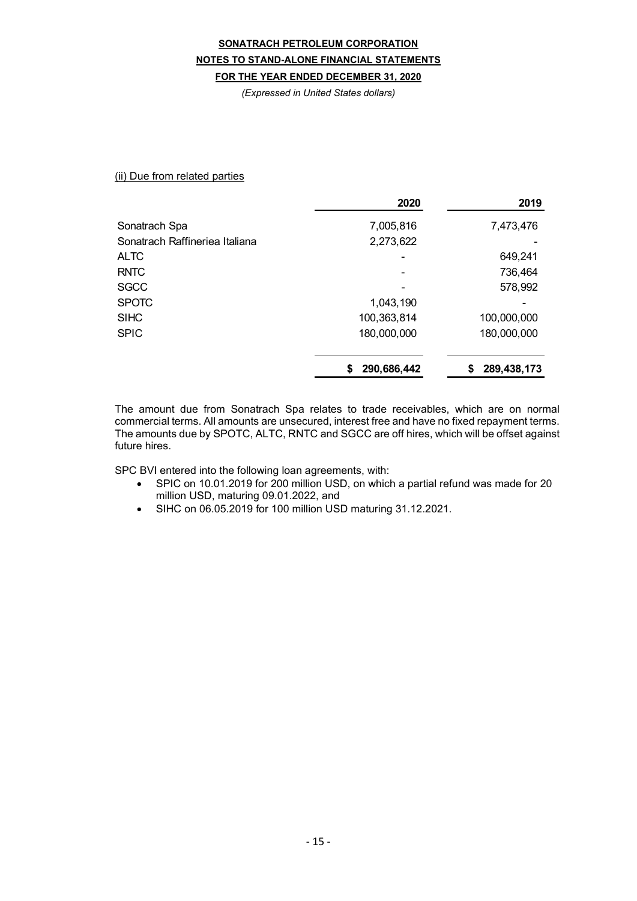*(Expressed in United States dollars)*

# (ii) Due from related parties

|                                | 2020              | 2019              |
|--------------------------------|-------------------|-------------------|
| Sonatrach Spa                  | 7,005,816         | 7,473,476         |
| Sonatrach Raffineriea Italiana | 2,273,622         |                   |
| ALTC                           |                   | 649,241           |
| <b>RNTC</b>                    |                   | 736,464           |
| SGCC                           |                   | 578,992           |
| <b>SPOTC</b>                   | 1,043,190         |                   |
| <b>SIHC</b>                    | 100,363,814       | 100,000,000       |
| <b>SPIC</b>                    | 180,000,000       | 180,000,000       |
|                                | 290,686,442<br>\$ | 289,438,173<br>\$ |

The amount due from Sonatrach Spa relates to trade receivables, which are on normal commercial terms. All amounts are unsecured, interest free and have no fixed repayment terms. The amounts due by SPOTC, ALTC, RNTC and SGCC are off hires, which will be offset against future hires.

SPC BVI entered into the following loan agreements, with:

- SPIC on 10.01.2019 for 200 million USD, on which a partial refund was made for 20 million USD, maturing 09.01.2022, and
- SIHC on 06.05.2019 for 100 million USD maturing 31.12.2021.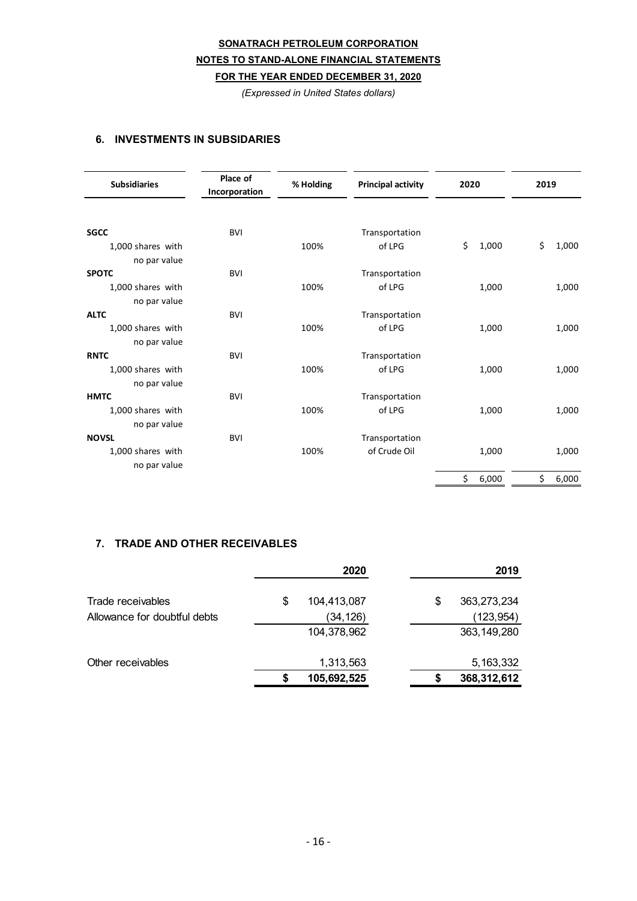*(Expressed in United States dollars)*

# **6. INVESTMENTS IN SUBSIDARIES**

| <b>Subsidiaries</b> | Place of<br>Incorporation | % Holding | <b>Principal activity</b> | 2020        | 2019        |
|---------------------|---------------------------|-----------|---------------------------|-------------|-------------|
| <b>SGCC</b>         | <b>BVI</b>                |           | Transportation            |             |             |
| 1,000 shares with   |                           | 100%      | of LPG                    | \$<br>1,000 | \$<br>1,000 |
| no par value        |                           |           |                           |             |             |
| <b>SPOTC</b>        | <b>BVI</b>                |           | Transportation            |             |             |
| 1,000 shares with   |                           | 100%      | of LPG                    | 1,000       | 1,000       |
| no par value        |                           |           |                           |             |             |
| <b>ALTC</b>         | <b>BVI</b>                |           | Transportation            |             |             |
| 1,000 shares with   |                           | 100%      | of LPG                    | 1,000       | 1,000       |
| no par value        |                           |           |                           |             |             |
| <b>RNTC</b>         | <b>BVI</b>                |           | Transportation            |             |             |
| 1,000 shares with   |                           | 100%      | of LPG                    | 1,000       | 1,000       |
| no par value        |                           |           |                           |             |             |
| <b>HMTC</b>         | <b>BVI</b>                |           | Transportation            |             |             |
| 1,000 shares with   |                           | 100%      | of LPG                    | 1,000       | 1,000       |
| no par value        |                           |           |                           |             |             |
| <b>NOVSL</b>        | <b>BVI</b>                |           | Transportation            |             |             |
| 1,000 shares with   |                           | 100%      | of Crude Oil              | 1,000       | 1,000       |
| no par value        |                           |           |                           |             |             |
|                     |                           |           |                           | \$<br>6,000 | \$<br>6,000 |

# **7. TRADE AND OTHER RECEIVABLES**

|                              |    | 2020        |    | 2019          |
|------------------------------|----|-------------|----|---------------|
| Trade receivables            | \$ | 104,413,087 | \$ | 363,273,234   |
| Allowance for doubtful debts |    | (34, 126)   |    | (123,954)     |
|                              |    | 104,378,962 |    | 363, 149, 280 |
| Other receivables            |    | 1,313,563   |    | 5, 163, 332   |
|                              | S  | 105,692,525 |    | 368,312,612   |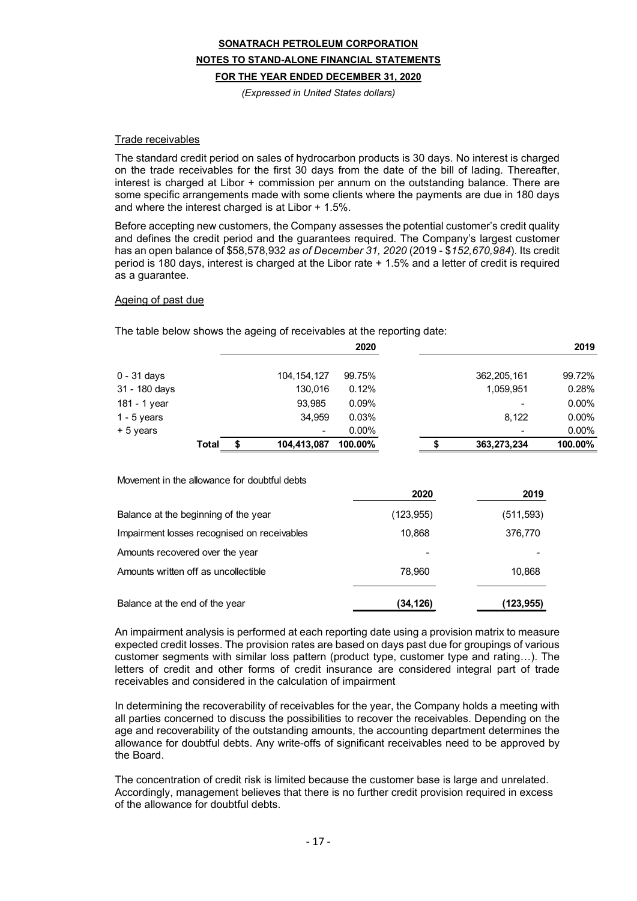*(Expressed in United States dollars)*

# Trade receivables

The standard credit period on sales of hydrocarbon products is 30 days. No interest is charged on the trade receivables for the first 30 days from the date of the bill of lading. Thereafter, interest is charged at Libor + commission per annum on the outstanding balance. There are some specific arrangements made with some clients where the payments are due in 180 days and where the interest charged is at Libor + 1.5%.

Before accepting new customers, the Company assesses the potential customer's credit quality and defines the credit period and the guarantees required. The Company's largest customer has an open balance of \$58,578,932 *as of December 31, 2020* (2019 - \$*152,670,984*). Its credit period is 180 days, interest is charged at the Libor rate + 1.5% and a letter of credit is required as a guarantee.

## Ageing of past due

The table below shows the ageing of receivables at the reporting date:

|               |       |                   | 2020     |  |             | 2019     |
|---------------|-------|-------------------|----------|--|-------------|----------|
| 0 - 31 days   |       | 104, 154, 127     | 99.75%   |  | 362,205,161 | 99.72%   |
| 31 - 180 days |       | 130,016           | 0.12%    |  | 1,059,951   | 0.28%    |
| 181 - 1 year  |       | 93,985            | 0.09%    |  |             | $0.00\%$ |
| 1 - $5$ years |       | 34,959            | 0.03%    |  | 8,122       | $0.00\%$ |
| + 5 vears     |       | $\blacksquare$    | $0.00\%$ |  |             | $0.00\%$ |
|               | Total | \$<br>104,413,087 | 100.00%  |  | 363,273,234 | 100.00%  |

Movement in the allowance for doubtful debts

|                                             | 2020      | 2019      |
|---------------------------------------------|-----------|-----------|
| Balance at the beginning of the year        | (123,955) | (511,593) |
| Impairment losses recognised on receivables | 10,868    | 376,770   |
| Amounts recovered over the year             |           |           |
| Amounts written off as uncollectible        | 78.960    | 10,868    |
| Balance at the end of the year              | (34,126)  | (123,955) |

An impairment analysis is performed at each reporting date using a provision matrix to measure expected credit losses. The provision rates are based on days past due for groupings of various customer segments with similar loss pattern (product type, customer type and rating…). The letters of credit and other forms of credit insurance are considered integral part of trade receivables and considered in the calculation of impairment

In determining the recoverability of receivables for the year, the Company holds a meeting with all parties concerned to discuss the possibilities to recover the receivables. Depending on the age and recoverability of the outstanding amounts, the accounting department determines the allowance for doubtful debts. Any write-offs of significant receivables need to be approved by the Board.

The concentration of credit risk is limited because the customer base is large and unrelated. Accordingly, management believes that there is no further credit provision required in excess of the allowance for doubtful debts.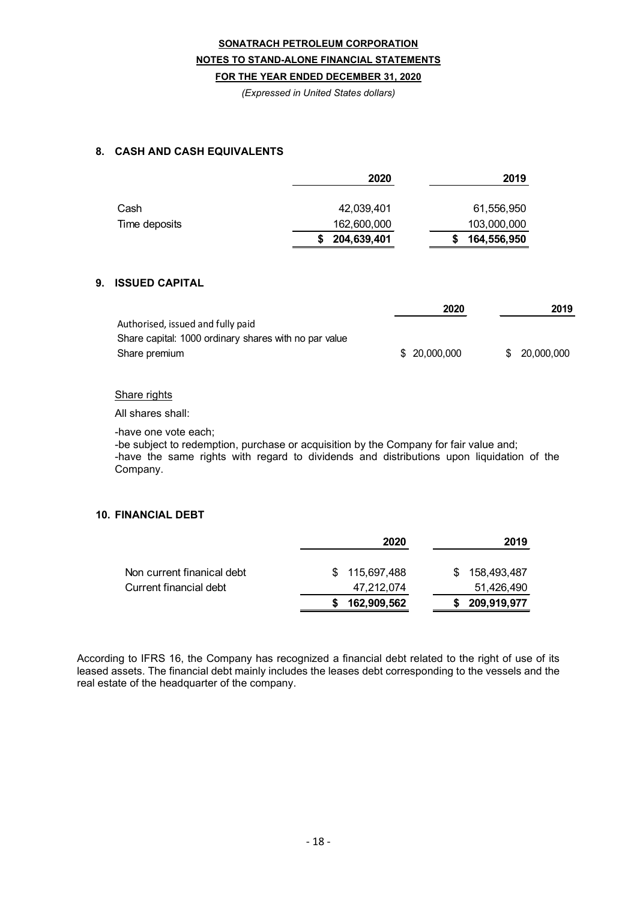*(Expressed in United States dollars)*

# **8. CASH AND CASH EQUIVALENTS**

|               | 2020        | 2019        |
|---------------|-------------|-------------|
| Cash          | 42,039,401  | 61,556,950  |
| Time deposits | 162,600,000 | 103,000,000 |
|               | 204,639,401 | 164,556,950 |

# **9. ISSUED CAPITAL**

|                                                       | 2020          | 2019         |
|-------------------------------------------------------|---------------|--------------|
| Authorised, issued and fully paid                     |               |              |
| Share capital: 1000 ordinary shares with no par value |               |              |
| Share premium                                         | \$ 20,000,000 | \$20.000.000 |

# Share rights

All shares shall:

-have one vote each;

-be subject to redemption, purchase or acquisition by the Company for fair value and; -have the same rights with regard to dividends and distributions upon liquidation of the Company.

# **10. FINANCIAL DEBT**

|                            | 2020          | 2019           |
|----------------------------|---------------|----------------|
| Non current finanical debt | \$115.697.488 | \$ 158,493,487 |
| Current financial debt     | 47.212.074    | 51,426,490     |
|                            | 162,909,562   | 209,919,977    |

According to IFRS 16, the Company has recognized a financial debt related to the right of use of its leased assets. The financial debt mainly includes the leases debt corresponding to the vessels and the real estate of the headquarter of the company.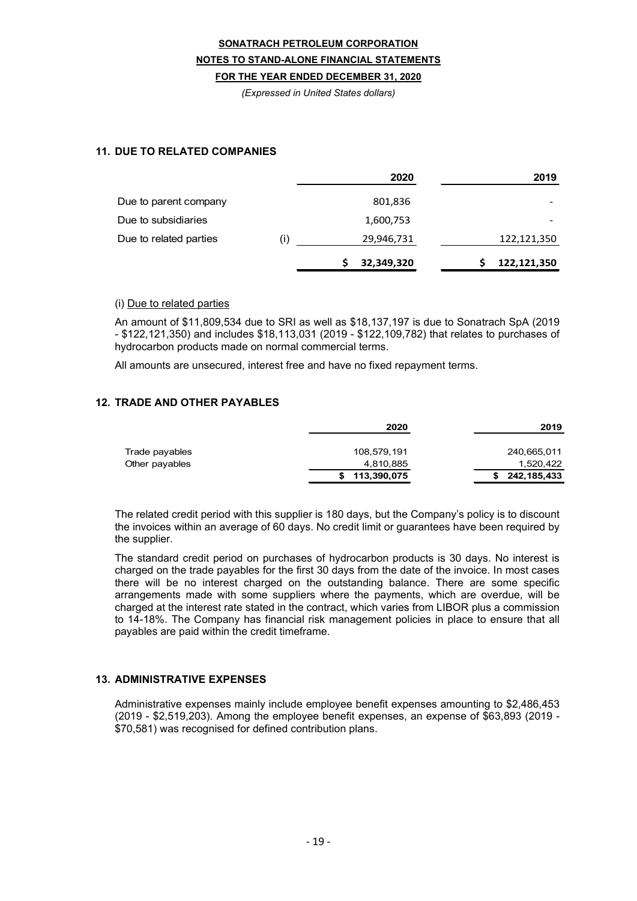*(Expressed in United States dollars)*

# **11. DUE TO RELATED COMPANIES**

|                        |                   | 2020       | 2019        |
|------------------------|-------------------|------------|-------------|
| Due to parent company  |                   | 801,836    |             |
| Due to subsidiaries    |                   | 1,600,753  |             |
| Due to related parties | $\left( 1\right)$ | 29,946,731 | 122,121,350 |
|                        |                   | 32,349,320 | 122,121,350 |

# (i) Due to related parties

An amount of \$11,809,534 due to SRI as well as \$18,137,197 is due to Sonatrach SpA (2019 - \$122,121,350) and includes \$18,113,031 (2019 - \$122,109,782) that relates to purchases of hydrocarbon products made on normal commercial terms.

All amounts are unsecured, interest free and have no fixed repayment terms.

# **12. TRADE AND OTHER PAYABLES**

|                | 2020        | 2019        |
|----------------|-------------|-------------|
| Trade payables | 108,579,191 | 240,665,011 |
| Other payables | 4,810,885   | 1,520,422   |
|                | 113,390,075 | 242,185,433 |

The related credit period with this supplier is 180 days, but the Company's policy is to discount the invoices within an average of 60 days. No credit limit or guarantees have been required by the supplier.

The standard credit period on purchases of hydrocarbon products is 30 days. No interest is charged on the trade payables for the first 30 days from the date of the invoice. In most cases there will be no interest charged on the outstanding balance. There are some specific arrangements made with some suppliers where the payments, which are overdue, will be charged at the interest rate stated in the contract, which varies from LIBOR plus a commission to 14-18%. The Company has financial risk management policies in place to ensure that all payables are paid within the credit timeframe.

# **13. ADMINISTRATIVE EXPENSES**

Administrative expenses mainly include employee benefit expenses amounting to \$2,486,453 (2019 - \$2,519,203). Among the employee benefit expenses, an expense of \$63,893 (2019 - \$70,581) was recognised for defined contribution plans.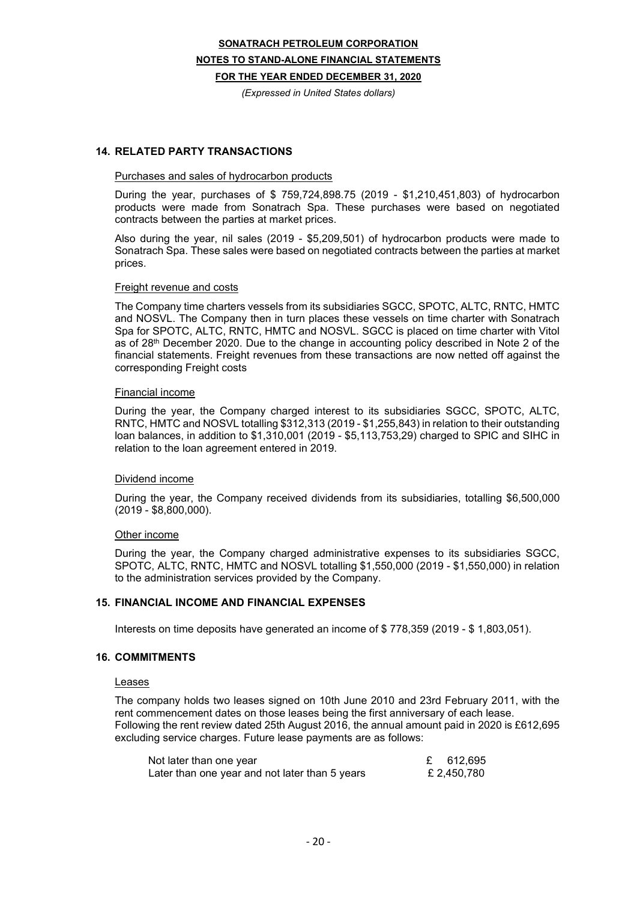*(Expressed in United States dollars)*

## **14. RELATED PARTY TRANSACTIONS**

#### Purchases and sales of hydrocarbon products

During the year, purchases of \$ 759,724,898.75 (2019 - \$1,210,451,803) of hydrocarbon products were made from Sonatrach Spa. These purchases were based on negotiated contracts between the parties at market prices.

Also during the year, nil sales (2019 - \$5,209,501) of hydrocarbon products were made to Sonatrach Spa. These sales were based on negotiated contracts between the parties at market prices.

#### Freight revenue and costs

The Company time charters vessels from its subsidiaries SGCC, SPOTC, ALTC, RNTC, HMTC and NOSVL. The Company then in turn places these vessels on time charter with Sonatrach Spa for SPOTC, ALTC, RNTC, HMTC and NOSVL. SGCC is placed on time charter with Vitol as of  $28<sup>th</sup>$  December 2020. Due to the change in accounting policy described in Note 2 of the financial statements. Freight revenues from these transactions are now netted off against the corresponding Freight costs

#### Financial income

During the year, the Company charged interest to its subsidiaries SGCC, SPOTC, ALTC, RNTC, HMTC and NOSVL totalling \$312,313 (2019 - \$1,255,843) in relation to their outstanding loan balances, in addition to \$1,310,001 (2019 - \$5,113,753,29) charged to SPIC and SIHC in relation to the loan agreement entered in 2019.

#### Dividend income

During the year, the Company received dividends from its subsidiaries, totalling \$6,500,000 (2019 - \$8,800,000).

#### Other income

During the year, the Company charged administrative expenses to its subsidiaries SGCC, SPOTC, ALTC, RNTC, HMTC and NOSVL totalling \$1,550,000 (2019 - \$1,550,000) in relation to the administration services provided by the Company.

## **15. FINANCIAL INCOME AND FINANCIAL EXPENSES**

Interests on time deposits have generated an income of \$ 778,359 (2019 - \$ 1,803,051).

#### **16. COMMITMENTS**

#### **Leases**

The company holds two leases signed on 10th June 2010 and 23rd February 2011, with the rent commencement dates on those leases being the first anniversary of each lease. Following the rent review dated 25th August 2016, the annual amount paid in 2020 is £612,695 excluding service charges. Future lease payments are as follows:

| Not later than one year                        | £ 612,695   |
|------------------------------------------------|-------------|
| Later than one year and not later than 5 years | £ 2,450,780 |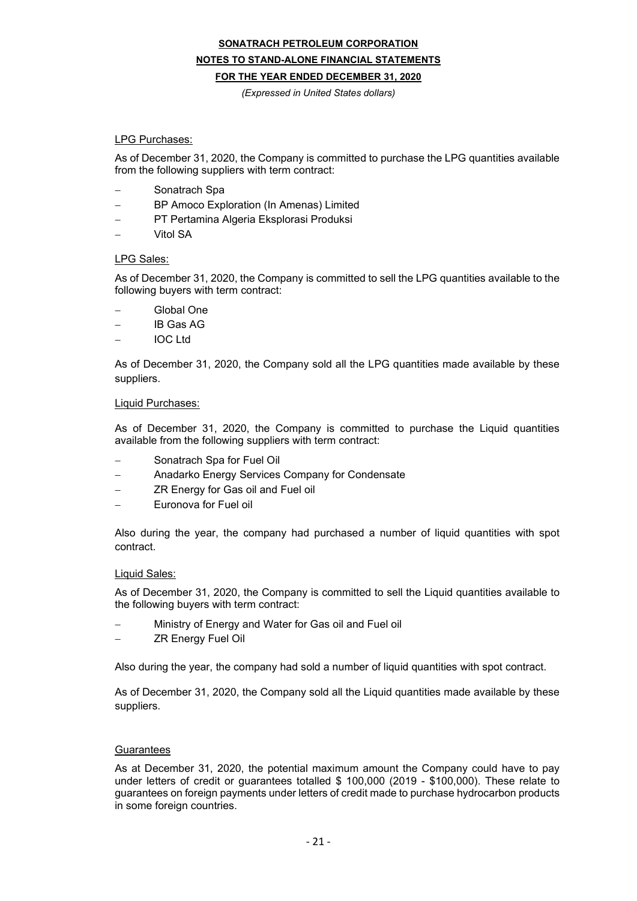*(Expressed in United States dollars)*

# LPG Purchases:

As of December 31, 2020, the Company is committed to purchase the LPG quantities available from the following suppliers with term contract:

- − Sonatrach Spa
- BP Amoco Exploration (In Amenas) Limited
- − PT Pertamina Algeria Eksplorasi Produksi
- − Vitol SA

# LPG Sales:

As of December 31, 2020, the Company is committed to sell the LPG quantities available to the following buyers with term contract:

- − Global One
- − IB Gas AG
- − IOC Ltd

As of December 31, 2020, the Company sold all the LPG quantities made available by these suppliers.

# Liquid Purchases:

As of December 31, 2020, the Company is committed to purchase the Liquid quantities available from the following suppliers with term contract:

- − Sonatrach Spa for Fuel Oil
- − Anadarko Energy Services Company for Condensate
- − ZR Energy for Gas oil and Fuel oil
- Euronova for Fuel oil

Also during the year, the company had purchased a number of liquid quantities with spot contract.

# Liquid Sales:

As of December 31, 2020, the Company is committed to sell the Liquid quantities available to the following buyers with term contract:

- Ministry of Energy and Water for Gas oil and Fuel oil
- − ZR Energy Fuel Oil

Also during the year, the company had sold a number of liquid quantities with spot contract.

As of December 31, 2020, the Company sold all the Liquid quantities made available by these suppliers.

# **Guarantees**

As at December 31, 2020, the potential maximum amount the Company could have to pay under letters of credit or guarantees totalled \$ 100,000 (2019 - \$100,000). These relate to guarantees on foreign payments under letters of credit made to purchase hydrocarbon products in some foreign countries.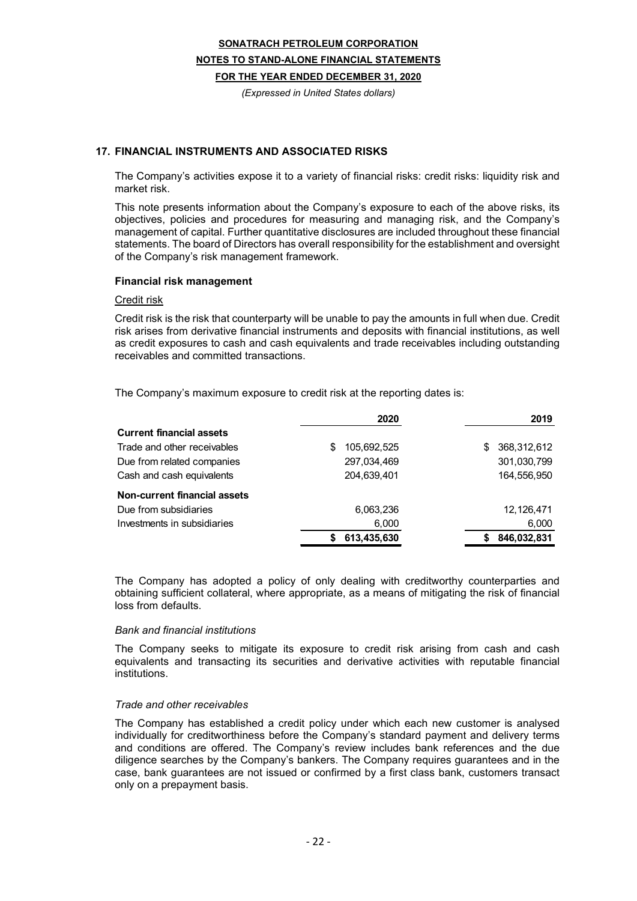*(Expressed in United States dollars)*

## **17. FINANCIAL INSTRUMENTS AND ASSOCIATED RISKS**

The Company's activities expose it to a variety of financial risks: credit risks: liquidity risk and market risk.

This note presents information about the Company's exposure to each of the above risks, its objectives, policies and procedures for measuring and managing risk, and the Company's management of capital. Further quantitative disclosures are included throughout these financial statements. The board of Directors has overall responsibility for the establishment and oversight of the Company's risk management framework.

#### **Financial risk management**

## Credit risk

Credit risk is the risk that counterparty will be unable to pay the amounts in full when due. Credit risk arises from derivative financial instruments and deposits with financial institutions, as well as credit exposures to cash and cash equivalents and trade receivables including outstanding receivables and committed transactions.

The Company's maximum exposure to credit risk at the reporting dates is:

|                                 | 2020              | 2019              |
|---------------------------------|-------------------|-------------------|
| <b>Current financial assets</b> |                   |                   |
| Trade and other receivables     | 105,692,525<br>\$ | 368,312,612<br>S. |
| Due from related companies      | 297,034,469       | 301,030,799       |
| Cash and cash equivalents       | 204,639,401       | 164,556,950       |
| Non-current financial assets    |                   |                   |
| Due from subsidiaries           | 6,063,236         | 12, 126, 471      |
| Investments in subsidiaries     | 6,000             | 6,000             |
|                                 | 613,435,630       | 846,032,831       |

The Company has adopted a policy of only dealing with creditworthy counterparties and obtaining sufficient collateral, where appropriate, as a means of mitigating the risk of financial loss from defaults.

#### *Bank and financial institutions*

The Company seeks to mitigate its exposure to credit risk arising from cash and cash equivalents and transacting its securities and derivative activities with reputable financial institutions.

#### *Trade and other receivables*

The Company has established a credit policy under which each new customer is analysed individually for creditworthiness before the Company's standard payment and delivery terms and conditions are offered. The Company's review includes bank references and the due diligence searches by the Company's bankers. The Company requires guarantees and in the case, bank guarantees are not issued or confirmed by a first class bank, customers transact only on a prepayment basis.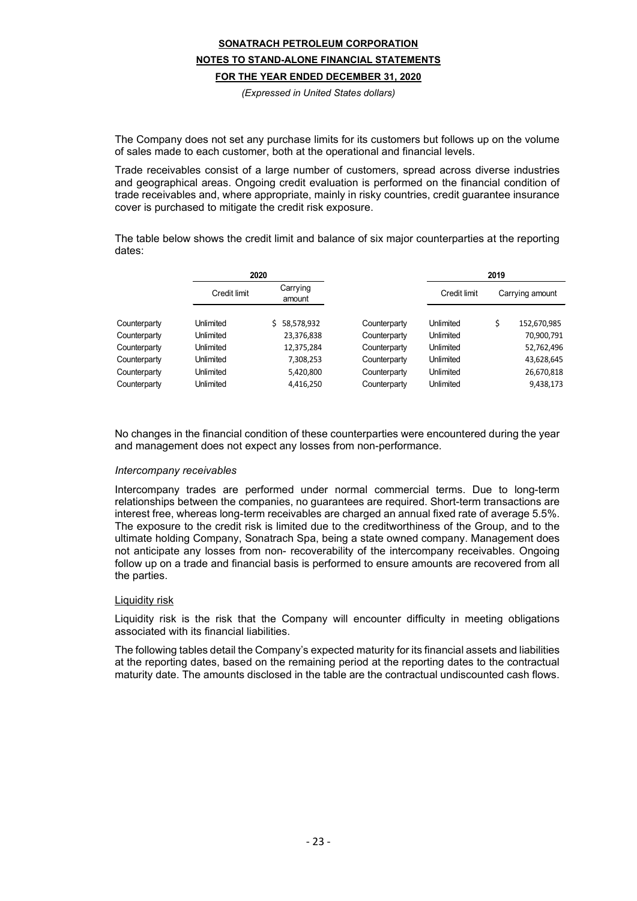*(Expressed in United States dollars)*

The Company does not set any purchase limits for its customers but follows up on the volume of sales made to each customer, both at the operational and financial levels.

Trade receivables consist of a large number of customers, spread across diverse industries and geographical areas. Ongoing credit evaluation is performed on the financial condition of trade receivables and, where appropriate, mainly in risky countries, credit guarantee insurance cover is purchased to mitigate the credit risk exposure.

The table below shows the credit limit and balance of six major counterparties at the reporting dates:

|              | 2020                               |            |              |              | 2019 |                 |
|--------------|------------------------------------|------------|--------------|--------------|------|-----------------|
|              | Carrying<br>Credit limit<br>amount |            |              | Credit limit |      | Carrying amount |
| Counterparty | Unlimited                          | 58,578,932 | Counterparty | Unlimited    | \$   | 152,670,985     |
| Counterparty | Unlimited                          | 23,376,838 | Counterparty | Unlimited    |      | 70,900,791      |
| Counterparty | Unlimited                          | 12,375,284 | Counterparty | Unlimited    |      | 52,762,496      |
| Counterparty | Unlimited                          | 7,308,253  | Counterparty | Unlimited    |      | 43,628,645      |
| Counterparty | Unlimited                          | 5,420,800  | Counterparty | Unlimited    |      | 26,670,818      |
| Counterparty | Unlimited                          | 4,416,250  | Counterparty | Unlimited    |      | 9,438,173       |

No changes in the financial condition of these counterparties were encountered during the year and management does not expect any losses from non-performance.

#### *Intercompany receivables*

Intercompany trades are performed under normal commercial terms. Due to long-term relationships between the companies, no guarantees are required. Short-term transactions are interest free, whereas long-term receivables are charged an annual fixed rate of average 5.5%. The exposure to the credit risk is limited due to the creditworthiness of the Group, and to the ultimate holding Company, Sonatrach Spa, being a state owned company. Management does not anticipate any losses from non- recoverability of the intercompany receivables. Ongoing follow up on a trade and financial basis is performed to ensure amounts are recovered from all the parties.

#### Liquidity risk

Liquidity risk is the risk that the Company will encounter difficulty in meeting obligations associated with its financial liabilities.

The following tables detail the Company's expected maturity for its financial assets and liabilities at the reporting dates, based on the remaining period at the reporting dates to the contractual maturity date. The amounts disclosed in the table are the contractual undiscounted cash flows.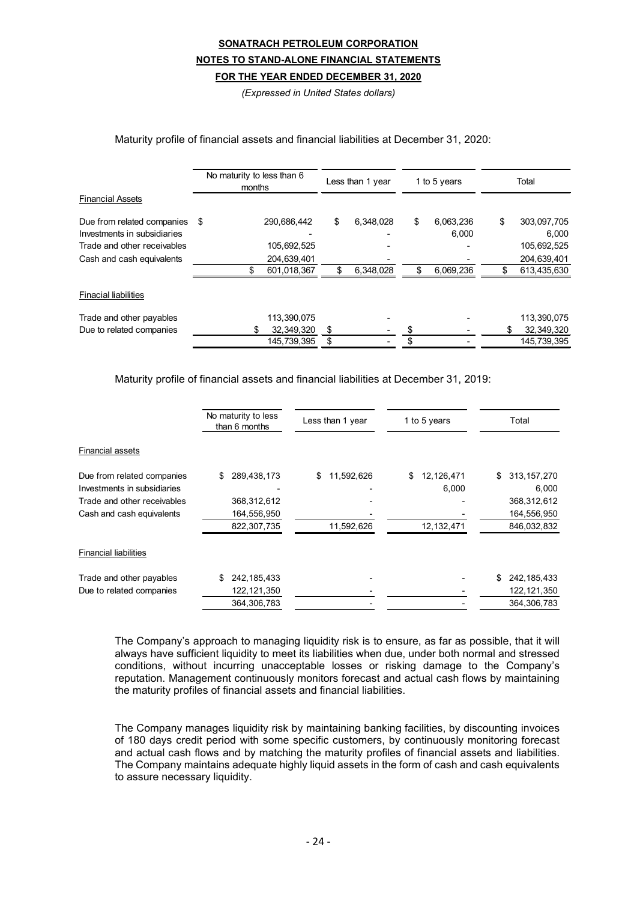*(Expressed in United States dollars)*

## Maturity profile of financial assets and financial liabilities at December 31, 2020:

|                                                                                                                       | No maturity to less than 6<br>months |                                                          | Less than 1 year |                        | 1 to 5 years |                                 |         | Total                                                             |
|-----------------------------------------------------------------------------------------------------------------------|--------------------------------------|----------------------------------------------------------|------------------|------------------------|--------------|---------------------------------|---------|-------------------------------------------------------------------|
| <b>Financial Assets</b>                                                                                               |                                      |                                                          |                  |                        |              |                                 |         |                                                                   |
| Due from related companies<br>Investments in subsidiaries<br>Trade and other receivables<br>Cash and cash equivalents | -\$<br>\$                            | 290,686,442<br>105,692,525<br>204,639,401<br>601,018,367 | \$<br>\$         | 6,348,028<br>6,348,028 | \$<br>S      | 6,063,236<br>6,000<br>6,069,236 | \$<br>S | 303,097,705<br>6.000<br>105,692,525<br>204,639,401<br>613,435,630 |
| <b>Finacial liabilities</b>                                                                                           |                                      |                                                          |                  |                        |              |                                 |         |                                                                   |
| Trade and other payables<br>Due to related companies                                                                  | S                                    | 113,390,075<br>32, 349, 320<br>145,739,395               | \$<br>\$         |                        | \$<br>\$     |                                 | \$.     | 113,390,075<br>32,349,320<br>145,739,395                          |

Maturity profile of financial assets and financial liabilities at December 31, 2019:

|                              | No maturity to less<br>than 6 months | Less than 1 year | 1 to 5 years      | Total               |
|------------------------------|--------------------------------------|------------------|-------------------|---------------------|
| <b>Financial assets</b>      |                                      |                  |                   |                     |
| Due from related companies   | 289,438,173<br>\$                    | 11,592,626<br>\$ | 12,126,471<br>\$. | 313, 157, 270<br>\$ |
| Investments in subsidiaries  |                                      |                  | 6,000             | 6,000               |
| Trade and other receivables  | 368,312,612                          |                  |                   | 368,312,612         |
| Cash and cash equivalents    | 164,556,950                          |                  |                   | 164,556,950         |
|                              | 822,307,735                          | 11,592,626       | 12, 132, 471      | 846,032,832         |
| <b>Financial liabilities</b> |                                      |                  |                   |                     |
| Trade and other payables     | 242, 185, 433<br>S                   |                  |                   | \$<br>242, 185, 433 |
| Due to related companies     | 122,121,350                          |                  |                   | 122, 121, 350       |
|                              | 364,306,783                          |                  |                   | 364,306,783         |

The Company's approach to managing liquidity risk is to ensure, as far as possible, that it will always have sufficient liquidity to meet its liabilities when due, under both normal and stressed conditions, without incurring unacceptable losses or risking damage to the Company's reputation. Management continuously monitors forecast and actual cash flows by maintaining the maturity profiles of financial assets and financial liabilities.

The Company manages liquidity risk by maintaining banking facilities, by discounting invoices of 180 days credit period with some specific customers, by continuously monitoring forecast and actual cash flows and by matching the maturity profiles of financial assets and liabilities. The Company maintains adequate highly liquid assets in the form of cash and cash equivalents to assure necessary liquidity.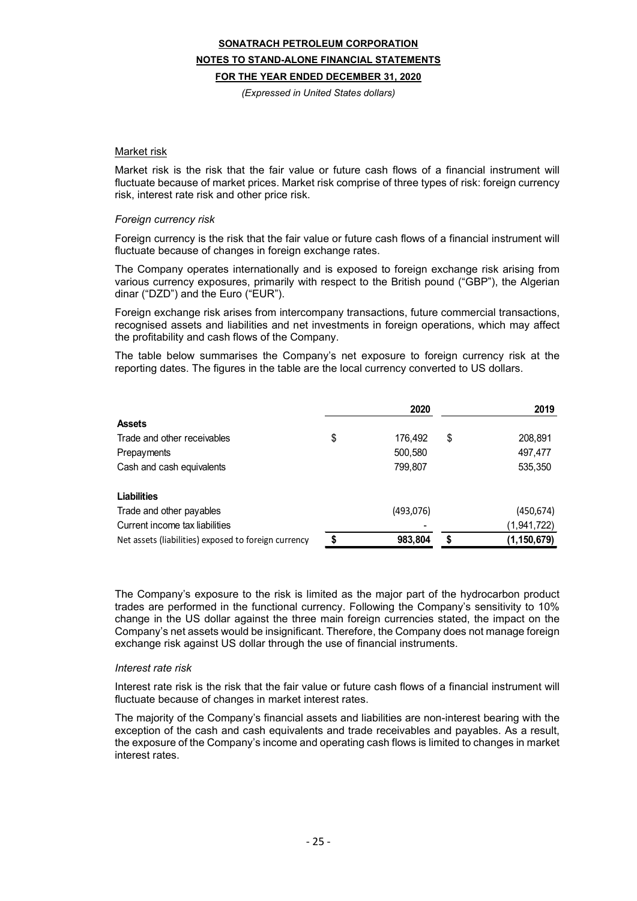*(Expressed in United States dollars)*

## Market risk

Market risk is the risk that the fair value or future cash flows of a financial instrument will fluctuate because of market prices. Market risk comprise of three types of risk: foreign currency risk, interest rate risk and other price risk.

#### *Foreign currency risk*

Foreign currency is the risk that the fair value or future cash flows of a financial instrument will fluctuate because of changes in foreign exchange rates.

The Company operates internationally and is exposed to foreign exchange risk arising from various currency exposures, primarily with respect to the British pound ("GBP"), the Algerian dinar ("DZD") and the Euro ("EUR").

Foreign exchange risk arises from intercompany transactions, future commercial transactions, recognised assets and liabilities and net investments in foreign operations, which may affect the profitability and cash flows of the Company.

The table below summarises the Company's net exposure to foreign currency risk at the reporting dates. The figures in the table are the local currency converted to US dollars.

|                                                      | 2020          |    | 2019          |
|------------------------------------------------------|---------------|----|---------------|
| <b>Assets</b>                                        |               |    |               |
| Trade and other receivables                          | \$<br>176.492 | \$ | 208,891       |
| Prepayments                                          | 500,580       |    | 497,477       |
| Cash and cash equivalents                            | 799,807       |    | 535,350       |
| <b>Liabilities</b>                                   |               |    |               |
| Trade and other payables                             | (493, 076)    |    | (450,674)     |
| Current income tax liabilities                       |               |    | (1,941,722)   |
| Net assets (liabilities) exposed to foreign currency | 983,804       | S  | (1, 150, 679) |

The Company's exposure to the risk is limited as the major part of the hydrocarbon product trades are performed in the functional currency. Following the Company's sensitivity to 10% change in the US dollar against the three main foreign currencies stated, the impact on the Company's net assets would be insignificant. Therefore, the Company does not manage foreign exchange risk against US dollar through the use of financial instruments.

#### *Interest rate risk*

Interest rate risk is the risk that the fair value or future cash flows of a financial instrument will fluctuate because of changes in market interest rates.

The majority of the Company's financial assets and liabilities are non-interest bearing with the exception of the cash and cash equivalents and trade receivables and payables. As a result, the exposure of the Company's income and operating cash flows is limited to changes in market interest rates.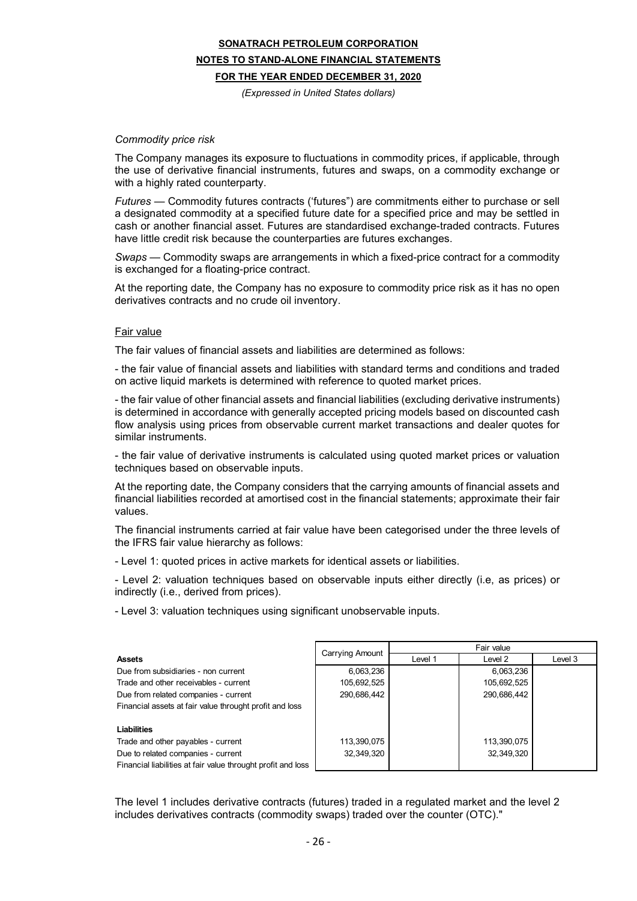*(Expressed in United States dollars)*

#### *Commodity price risk*

The Company manages its exposure to fluctuations in commodity prices, if applicable, through the use of derivative financial instruments, futures and swaps, on a commodity exchange or with a highly rated counterparty.

*Futures* — Commodity futures contracts ('futures") are commitments either to purchase or sell a designated commodity at a specified future date for a specified price and may be settled in cash or another financial asset. Futures are standardised exchange-traded contracts. Futures have little credit risk because the counterparties are futures exchanges.

*Swaps* — Commodity swaps are arrangements in which a fixed-price contract for a commodity is exchanged for a floating-price contract.

At the reporting date, the Company has no exposure to commodity price risk as it has no open derivatives contracts and no crude oil inventory.

## Fair value

The fair values of financial assets and liabilities are determined as follows:

- the fair value of financial assets and liabilities with standard terms and conditions and traded on active liquid markets is determined with reference to quoted market prices.

- the fair value of other financial assets and financial liabilities (excluding derivative instruments) is determined in accordance with generally accepted pricing models based on discounted cash flow analysis using prices from observable current market transactions and dealer quotes for similar instruments.

- the fair value of derivative instruments is calculated using quoted market prices or valuation techniques based on observable inputs.

At the reporting date, the Company considers that the carrying amounts of financial assets and financial liabilities recorded at amortised cost in the financial statements; approximate their fair values.

The financial instruments carried at fair value have been categorised under the three levels of the IFRS fair value hierarchy as follows:

- Level 1: quoted prices in active markets for identical assets or liabilities.

- Level 2: valuation techniques based on observable inputs either directly (i.e, as prices) or indirectly (i.e., derived from prices).

- Level 3: valuation techniques using significant unobservable inputs.

|                                                              | Carrying Amount | Fair value |             |         |  |
|--------------------------------------------------------------|-----------------|------------|-------------|---------|--|
| <b>Assets</b>                                                |                 | Level 1    | Level 2     | Level 3 |  |
| Due from subsidiaries - non current                          | 6,063,236       |            | 6,063,236   |         |  |
| Trade and other receivables - current                        | 105,692,525     |            | 105,692,525 |         |  |
| Due from related companies - current                         | 290,686,442     |            | 290,686,442 |         |  |
| Financial assets at fair value throught profit and loss      |                 |            |             |         |  |
| Liabilities                                                  |                 |            |             |         |  |
| Trade and other payables - current                           | 113,390,075     |            | 113,390,075 |         |  |
| Due to related companies - current                           | 32,349,320      |            | 32,349,320  |         |  |
| Financial liabilities at fair value throught profit and loss |                 |            |             |         |  |

The level 1 includes derivative contracts (futures) traded in a regulated market and the level 2 includes derivatives contracts (commodity swaps) traded over the counter (OTC)."